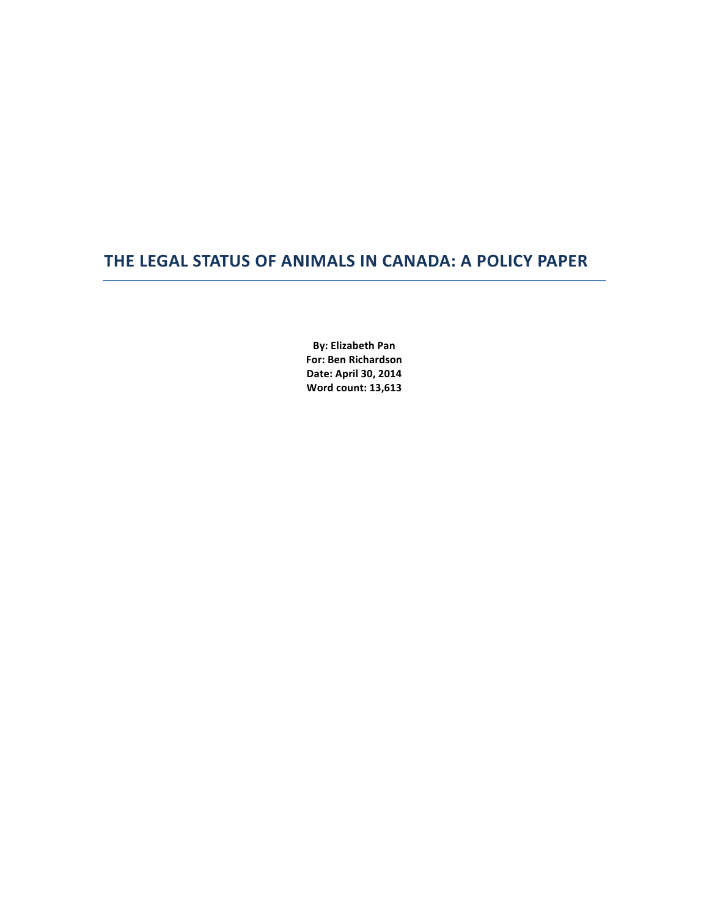# **THE LEGAL STATUS OF ANIMALS IN CANADA: A POLICY PAPER**

**By: Elizabeth Pan For: Ben Richardson Date: April 30, 2014 Word count: 13,613**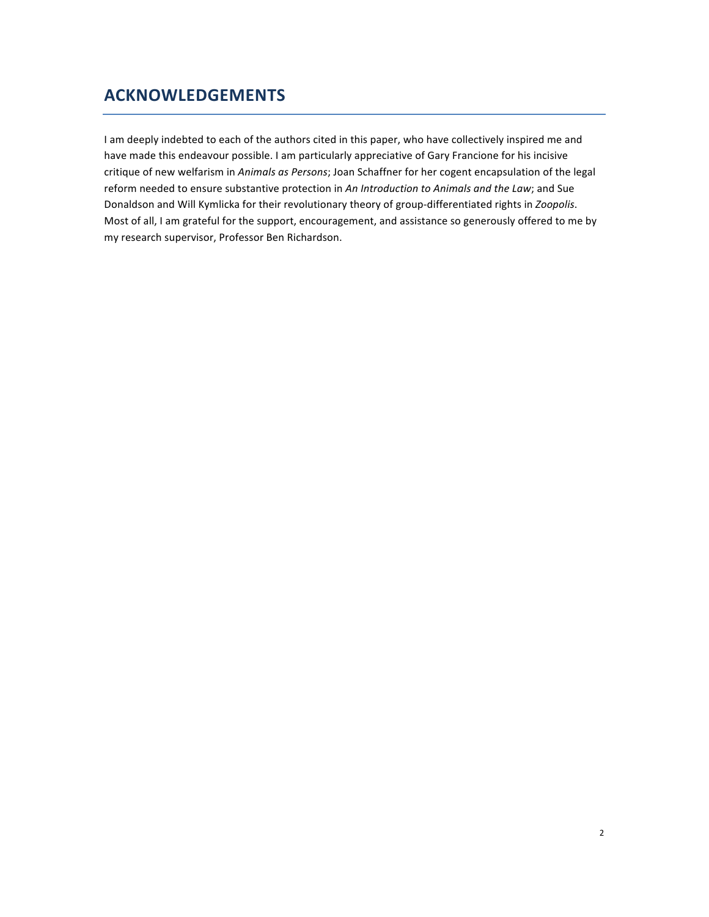# **ACKNOWLEDGEMENTS**

I am deeply indebted to each of the authors cited in this paper, who have collectively inspired me and have made this endeavour possible. I am particularly appreciative of Gary Francione for his incisive critique of new welfarism in *Animals as Persons*; Joan Schaffner for her cogent encapsulation of the legal reform needed to ensure substantive protection in *An Introduction to Animals and the Law*; and Sue Donaldson and Will Kymlicka for their revolutionary theory of group-differentiated rights in *Zoopolis*. Most of all, I am grateful for the support, encouragement, and assistance so generously offered to me by my research supervisor, Professor Ben Richardson.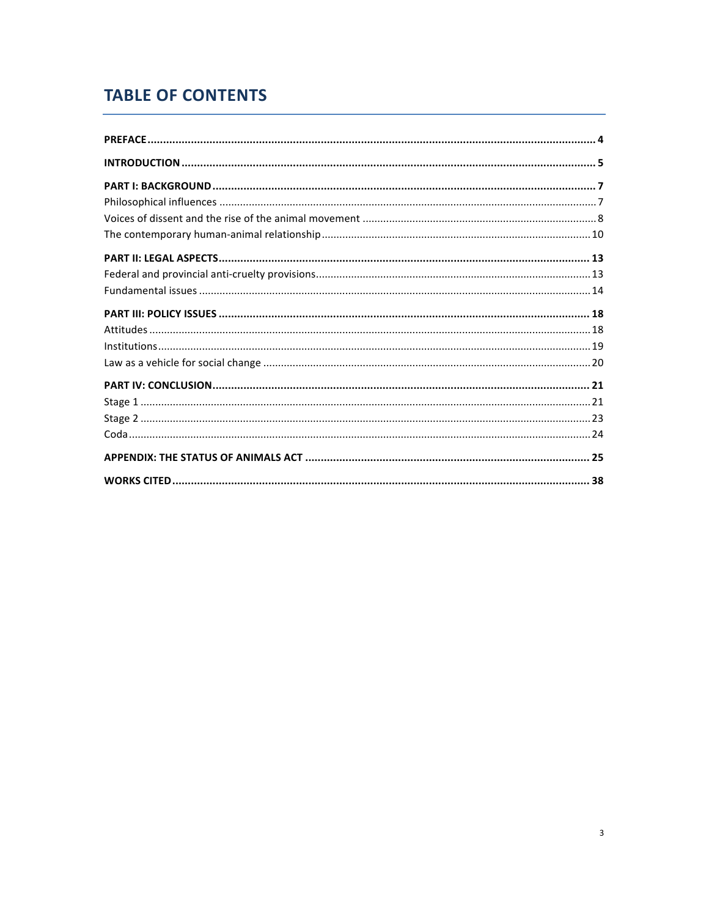# **TABLE OF CONTENTS**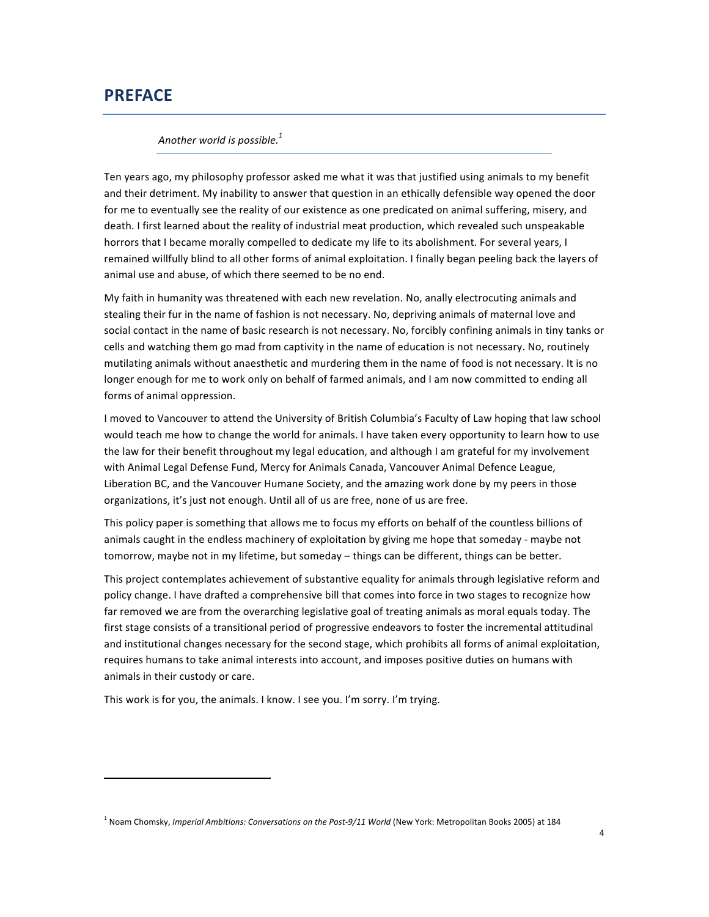## **PREFACE**

#### Another world is possible.<sup>1</sup>

Ten years ago, my philosophy professor asked me what it was that justified using animals to my benefit and their detriment. My inability to answer that question in an ethically defensible way opened the door for me to eventually see the reality of our existence as one predicated on animal suffering, misery, and death. I first learned about the reality of industrial meat production, which revealed such unspeakable horrors that I became morally compelled to dedicate my life to its abolishment. For several years, I remained willfully blind to all other forms of animal exploitation. I finally began peeling back the layers of animal use and abuse, of which there seemed to be no end.

My faith in humanity was threatened with each new revelation. No, anally electrocuting animals and stealing their fur in the name of fashion is not necessary. No, depriving animals of maternal love and social contact in the name of basic research is not necessary. No, forcibly confining animals in tiny tanks or cells and watching them go mad from captivity in the name of education is not necessary. No, routinely mutilating animals without anaesthetic and murdering them in the name of food is not necessary. It is no longer enough for me to work only on behalf of farmed animals, and I am now committed to ending all forms of animal oppression.

I moved to Vancouver to attend the University of British Columbia's Faculty of Law hoping that law school would teach me how to change the world for animals. I have taken every opportunity to learn how to use the law for their benefit throughout my legal education, and although I am grateful for my involvement with Animal Legal Defense Fund, Mercy for Animals Canada, Vancouver Animal Defence League, Liberation BC, and the Vancouver Humane Society, and the amazing work done by my peers in those organizations, it's just not enough. Until all of us are free, none of us are free.

This policy paper is something that allows me to focus my efforts on behalf of the countless billions of animals caught in the endless machinery of exploitation by giving me hope that someday - maybe not tomorrow, maybe not in my lifetime, but someday – things can be different, things can be better.

This project contemplates achievement of substantive equality for animals through legislative reform and policy change. I have drafted a comprehensive bill that comes into force in two stages to recognize how far removed we are from the overarching legislative goal of treating animals as moral equals today. The first stage consists of a transitional period of progressive endeavors to foster the incremental attitudinal and institutional changes necessary for the second stage, which prohibits all forms of animal exploitation, requires humans to take animal interests into account, and imposes positive duties on humans with animals in their custody or care.

This work is for you, the animals. I know. I see you. I'm sorry. I'm trying.

<sup>&</sup>lt;sup>1</sup> Noam Chomsky, *Imperial Ambitions: Conversations on the Post-9/11 World* (New York: Metropolitan Books 2005) at 184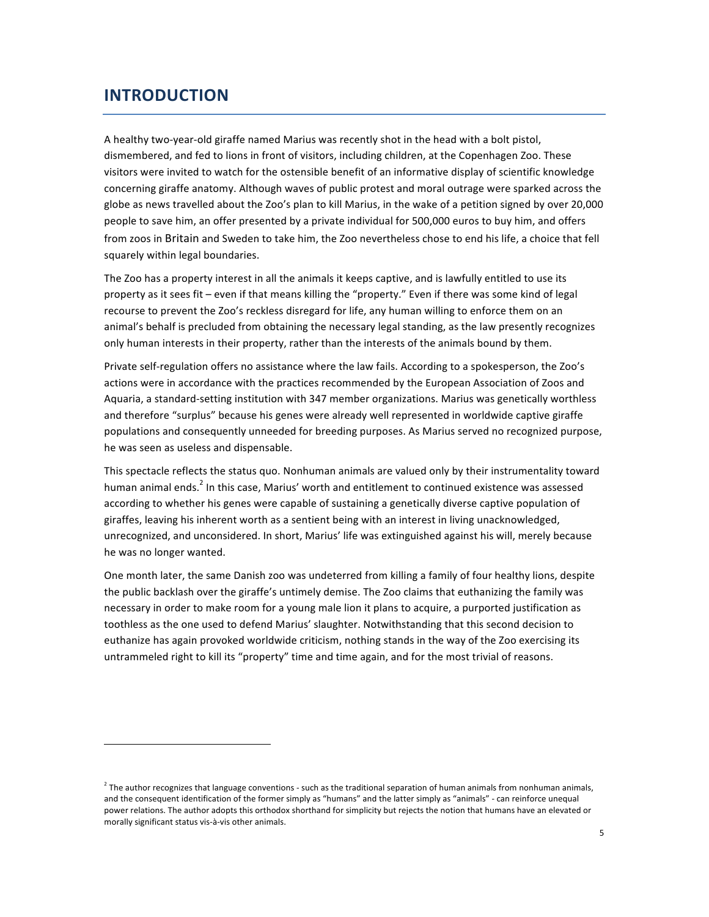## **INTRODUCTION**

 

A healthy two-year-old giraffe named Marius was recently shot in the head with a bolt pistol, dismembered, and fed to lions in front of visitors, including children, at the Copenhagen Zoo. These visitors were invited to watch for the ostensible benefit of an informative display of scientific knowledge concerning giraffe anatomy. Although waves of public protest and moral outrage were sparked across the globe as news travelled about the Zoo's plan to kill Marius, in the wake of a petition signed by over 20,000 people to save him, an offer presented by a private individual for 500,000 euros to buy him, and offers from zoos in Britain and Sweden to take him, the Zoo nevertheless chose to end his life, a choice that fell squarely within legal boundaries.

The Zoo has a property interest in all the animals it keeps captive, and is lawfully entitled to use its property as it sees fit – even if that means killing the "property." Even if there was some kind of legal recourse to prevent the Zoo's reckless disregard for life, any human willing to enforce them on an animal's behalf is precluded from obtaining the necessary legal standing, as the law presently recognizes only human interests in their property, rather than the interests of the animals bound by them.

Private self-regulation offers no assistance where the law fails. According to a spokesperson, the Zoo's actions were in accordance with the practices recommended by the European Association of Zoos and Aquaria, a standard-setting institution with 347 member organizations. Marius was genetically worthless and therefore "surplus" because his genes were already well represented in worldwide captive giraffe populations and consequently unneeded for breeding purposes. As Marius served no recognized purpose, he was seen as useless and dispensable.

This spectacle reflects the status quo. Nonhuman animals are valued only by their instrumentality toward human animal ends.<sup>2</sup> In this case, Marius' worth and entitlement to continued existence was assessed according to whether his genes were capable of sustaining a genetically diverse captive population of giraffes, leaving his inherent worth as a sentient being with an interest in living unacknowledged, unrecognized, and unconsidered. In short, Marius' life was extinguished against his will, merely because he was no longer wanted.

One month later, the same Danish zoo was undeterred from killing a family of four healthy lions, despite the public backlash over the giraffe's untimely demise. The Zoo claims that euthanizing the family was necessary in order to make room for a young male lion it plans to acquire, a purported justification as toothless as the one used to defend Marius' slaughter. Notwithstanding that this second decision to euthanize has again provoked worldwide criticism, nothing stands in the way of the Zoo exercising its untrammeled right to kill its "property" time and time again, and for the most trivial of reasons.

 $2$  The author recognizes that language conventions - such as the traditional separation of human animals from nonhuman animals, and the consequent identification of the former simply as "humans" and the latter simply as "animals" - can reinforce unequal power relations. The author adopts this orthodox shorthand for simplicity but rejects the notion that humans have an elevated or morally significant status vis-à-vis other animals.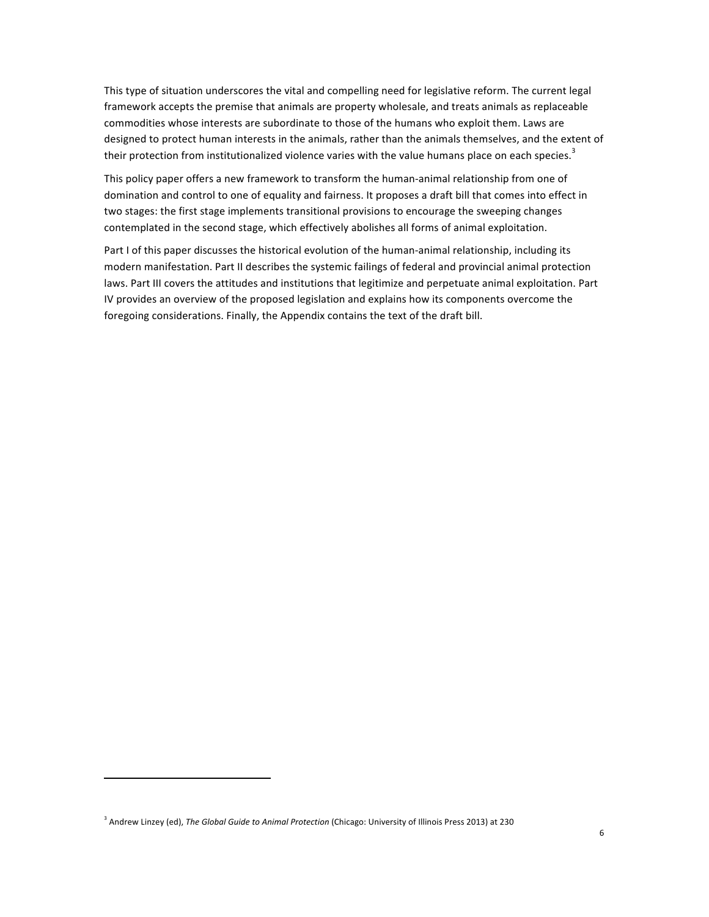This type of situation underscores the vital and compelling need for legislative reform. The current legal framework accepts the premise that animals are property wholesale, and treats animals as replaceable commodities whose interests are subordinate to those of the humans who exploit them. Laws are designed to protect human interests in the animals, rather than the animals themselves, and the extent of their protection from institutionalized violence varies with the value humans place on each species.<sup>3</sup>

This policy paper offers a new framework to transform the human-animal relationship from one of domination and control to one of equality and fairness. It proposes a draft bill that comes into effect in two stages: the first stage implements transitional provisions to encourage the sweeping changes contemplated in the second stage, which effectively abolishes all forms of animal exploitation.

Part I of this paper discusses the historical evolution of the human-animal relationship, including its modern manifestation. Part II describes the systemic failings of federal and provincial animal protection laws. Part III covers the attitudes and institutions that legitimize and perpetuate animal exploitation. Part IV provides an overview of the proposed legislation and explains how its components overcome the foregoing considerations. Finally, the Appendix contains the text of the draft bill.

<sup>&</sup>lt;sup>3</sup> Andrew Linzey (ed), The Global Guide to Animal Protection (Chicago: University of Illinois Press 2013) at 230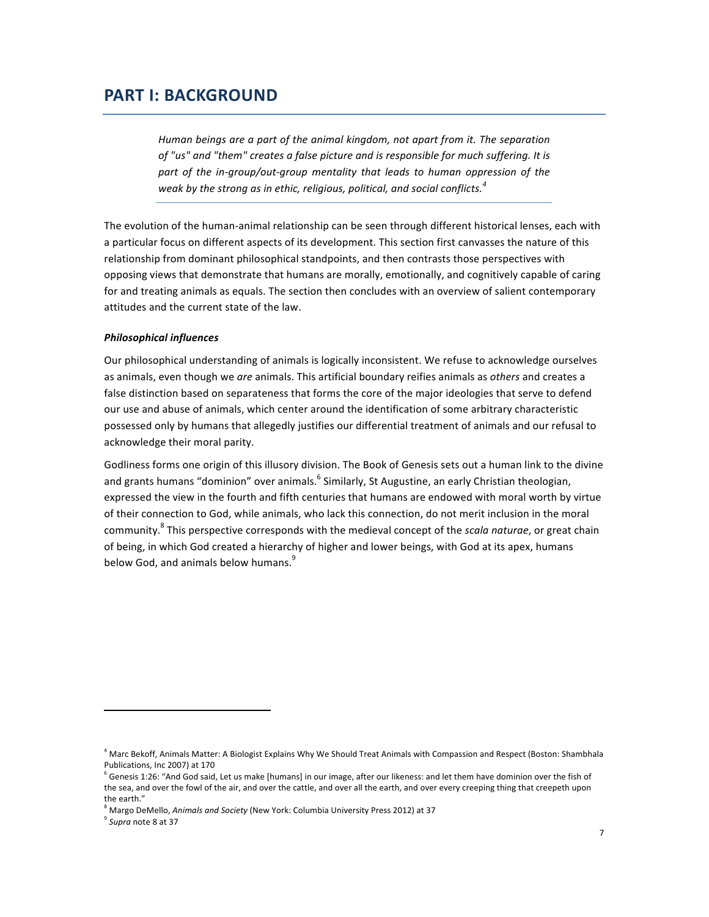## **PART I: BACKGROUND**

Human beings are a part of the animal kingdom, not apart from it. The separation of "us" and "them" creates a false picture and is responsible for much suffering. It is part of the in-group/out-group mentality that leads to human oppression of the *weak by the strong as in ethic, religious, political, and social conflicts.*<sup>4</sup>

The evolution of the human-animal relationship can be seen through different historical lenses, each with a particular focus on different aspects of its development. This section first canvasses the nature of this relationship from dominant philosophical standpoints, and then contrasts those perspectives with opposing views that demonstrate that humans are morally, emotionally, and cognitively capable of caring for and treating animals as equals. The section then concludes with an overview of salient contemporary attitudes and the current state of the law.

## *Philosophical influences*

Our philosophical understanding of animals is logically inconsistent. We refuse to acknowledge ourselves as animals, even though we are animals. This artificial boundary reifies animals as others and creates a false distinction based on separateness that forms the core of the major ideologies that serve to defend our use and abuse of animals, which center around the identification of some arbitrary characteristic possessed only by humans that allegedly justifies our differential treatment of animals and our refusal to acknowledge their moral parity.

Godliness forms one origin of this illusory division. The Book of Genesis sets out a human link to the divine and grants humans "dominion" over animals.<sup>6</sup> Similarly, St Augustine, an early Christian theologian, expressed the view in the fourth and fifth centuries that humans are endowed with moral worth by virtue of their connection to God, while animals, who lack this connection, do not merit inclusion in the moral community.<sup>8</sup> This perspective corresponds with the medieval concept of the *scala naturae*, or great chain of being, in which God created a hierarchy of higher and lower beings, with God at its apex, humans below God, and animals below humans.<sup>9</sup>

Margo DeMello, Animals and Society (New York: Columbia University Press 2012) at 37 <sup>9</sup> Supra note 8 at 37

 $^4$  Marc Bekoff, Animals Matter: A Biologist Explains Why We Should Treat Animals with Compassion and Respect (Boston: Shambhala Publications, Inc 2007) at 170

 $^6$  Genesis 1:26: "And God said, Let us make [humans] in our image, after our likeness: and let them have dominion over the fish of the sea, and over the fowl of the air, and over the cattle, and over all the earth, and over every creeping thing that creepeth upon the earth."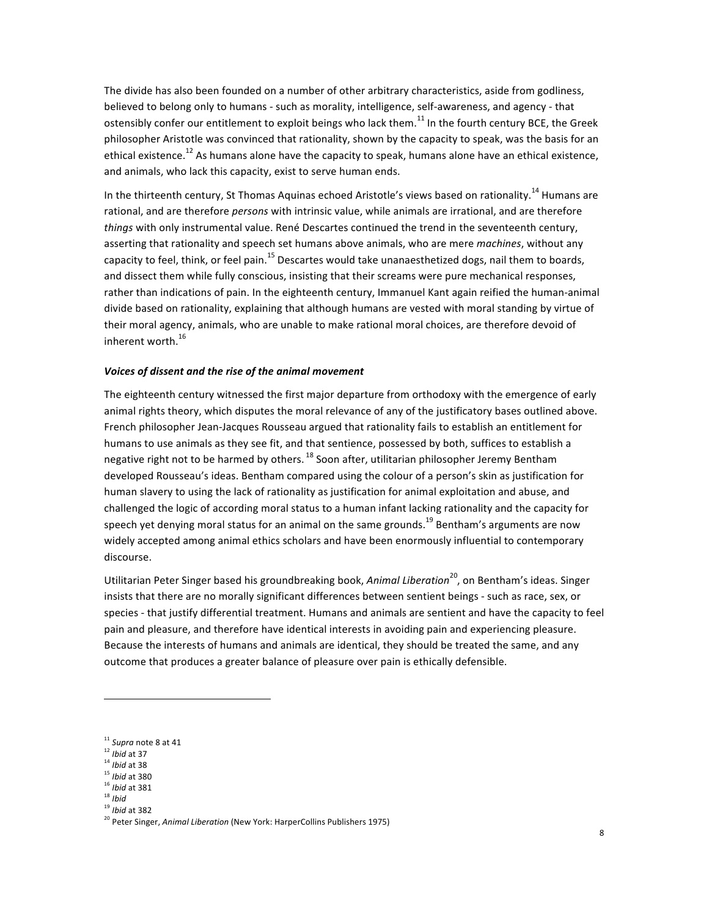The divide has also been founded on a number of other arbitrary characteristics, aside from godliness, believed to belong only to humans - such as morality, intelligence, self-awareness, and agency - that ostensibly confer our entitlement to exploit beings who lack them.<sup>11</sup> In the fourth century BCE, the Greek philosopher Aristotle was convinced that rationality, shown by the capacity to speak, was the basis for an ethical existence.<sup>12</sup> As humans alone have the capacity to speak, humans alone have an ethical existence, and animals, who lack this capacity, exist to serve human ends.

In the thirteenth century, St Thomas Aquinas echoed Aristotle's views based on rationality.<sup>14</sup> Humans are rational, and are therefore *persons* with intrinsic value, while animals are irrational, and are therefore *things* with only instrumental value. René Descartes continued the trend in the seventeenth century, asserting that rationality and speech set humans above animals, who are mere *machines*, without any capacity to feel, think, or feel pain.<sup>15</sup> Descartes would take unanaesthetized dogs, nail them to boards, and dissect them while fully conscious, insisting that their screams were pure mechanical responses, rather than indications of pain. In the eighteenth century, Immanuel Kant again reified the human-animal divide based on rationality, explaining that although humans are vested with moral standing by virtue of their moral agency, animals, who are unable to make rational moral choices, are therefore devoid of inherent worth. $^{16}$ 

## *Voices of dissent and the rise of the animal movement*

The eighteenth century witnessed the first major departure from orthodoxy with the emergence of early animal rights theory, which disputes the moral relevance of any of the justificatory bases outlined above. French philosopher Jean-Jacques Rousseau argued that rationality fails to establish an entitlement for humans to use animals as they see fit, and that sentience, possessed by both, suffices to establish a negative right not to be harmed by others. <sup>18</sup> Soon after, utilitarian philosopher Jeremy Bentham developed Rousseau's ideas. Bentham compared using the colour of a person's skin as justification for human slavery to using the lack of rationality as justification for animal exploitation and abuse, and challenged the logic of according moral status to a human infant lacking rationality and the capacity for speech yet denying moral status for an animal on the same grounds.<sup>19</sup> Bentham's arguments are now widely accepted among animal ethics scholars and have been enormously influential to contemporary discourse. 

Utilitarian Peter Singer based his groundbreaking book, *Animal Liberation*<sup>20</sup>, on Bentham's ideas. Singer insists that there are no morally significant differences between sentient beings - such as race, sex, or species - that justify differential treatment. Humans and animals are sentient and have the capacity to feel pain and pleasure, and therefore have identical interests in avoiding pain and experiencing pleasure. Because the interests of humans and animals are identical, they should be treated the same, and any outcome that produces a greater balance of pleasure over pain is ethically defensible.

<sup>&</sup>lt;sup>11</sup> Supra note 8 at 41

<sup>&</sup>lt;sup>12</sup> *Ibid* at 37

<sup>&</sup>lt;sup>14</sup> *Ibid* at 38

<sup>&</sup>lt;sup>15</sup> *Ibid* at 380

<sup>&</sup>lt;sup>16</sup> *Ibid* at 381

<sup>18</sup> *Ibid*

<sup>&</sup>lt;sup>19</sup> *Ibid* at 382

<sup>&</sup>lt;sup>20</sup> Peter Singer, *Animal Liberation* (New York: HarperCollins Publishers 1975)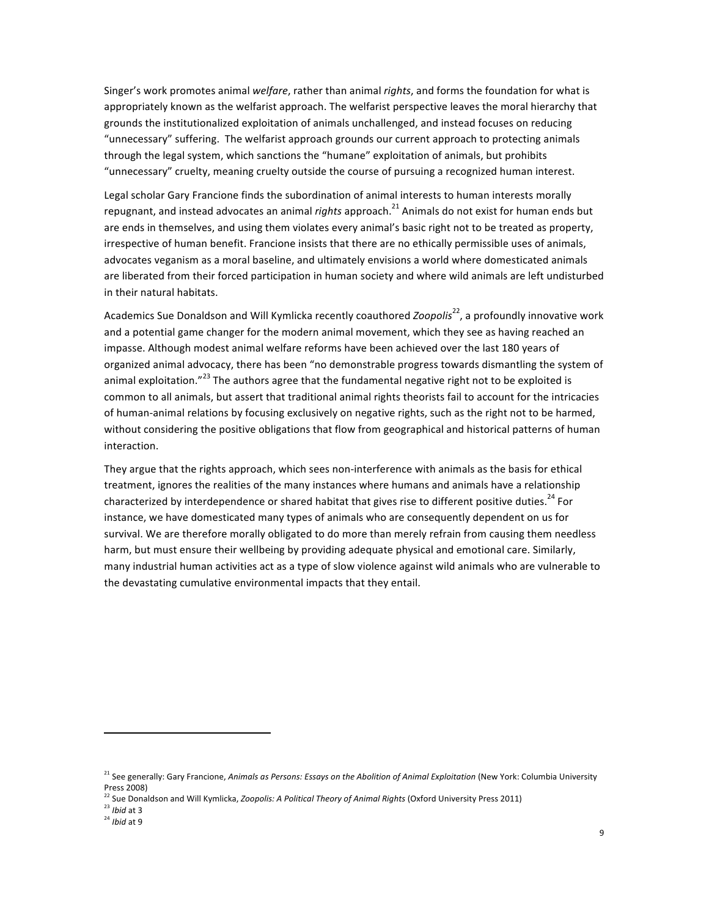Singer's work promotes animal *welfare*, rather than animal *rights*, and forms the foundation for what is appropriately known as the welfarist approach. The welfarist perspective leaves the moral hierarchy that grounds the institutionalized exploitation of animals unchallenged, and instead focuses on reducing "unnecessary" suffering. The welfarist approach grounds our current approach to protecting animals through the legal system, which sanctions the "humane" exploitation of animals, but prohibits "unnecessary" cruelty, meaning cruelty outside the course of pursuing a recognized human interest.

Legal scholar Gary Francione finds the subordination of animal interests to human interests morally repugnant, and instead advocates an animal *rights* approach.<sup>21</sup> Animals do not exist for human ends but are ends in themselves, and using them violates every animal's basic right not to be treated as property, irrespective of human benefit. Francione insists that there are no ethically permissible uses of animals, advocates veganism as a moral baseline, and ultimately envisions a world where domesticated animals are liberated from their forced participation in human society and where wild animals are left undisturbed in their natural habitats.

Academics Sue Donaldson and Will Kymlicka recently coauthored *Zoopolis*<sup>22</sup>, a profoundly innovative work and a potential game changer for the modern animal movement, which they see as having reached an impasse. Although modest animal welfare reforms have been achieved over the last 180 years of organized animal advocacy, there has been "no demonstrable progress towards dismantling the system of animal exploitation."<sup>23</sup> The authors agree that the fundamental negative right not to be exploited is common to all animals, but assert that traditional animal rights theorists fail to account for the intricacies of human-animal relations by focusing exclusively on negative rights, such as the right not to be harmed, without considering the positive obligations that flow from geographical and historical patterns of human interaction. 

They argue that the rights approach, which sees non-interference with animals as the basis for ethical treatment, ignores the realities of the many instances where humans and animals have a relationship characterized by interdependence or shared habitat that gives rise to different positive duties.<sup>24</sup> For instance, we have domesticated many types of animals who are consequently dependent on us for survival. We are therefore morally obligated to do more than merely refrain from causing them needless harm, but must ensure their wellbeing by providing adequate physical and emotional care. Similarly, many industrial human activities act as a type of slow violence against wild animals who are vulnerable to the devastating cumulative environmental impacts that they entail.

<sup>&</sup>lt;sup>21</sup> See generally: Gary Francione, *Animals as Persons: Essays on the Abolition of Animal Exploitation* (New York: Columbia University Press 2008)

<sup>&</sup>lt;sup>22</sup> Sue Donaldson and Will Kymlicka, *Zoopolis: A Political Theory of Animal Rights* (Oxford University Press 2011)

<sup>&</sup>lt;sup>23</sup> *Ibid* at 3

<sup>&</sup>lt;sup>24</sup> *Ibid* at 9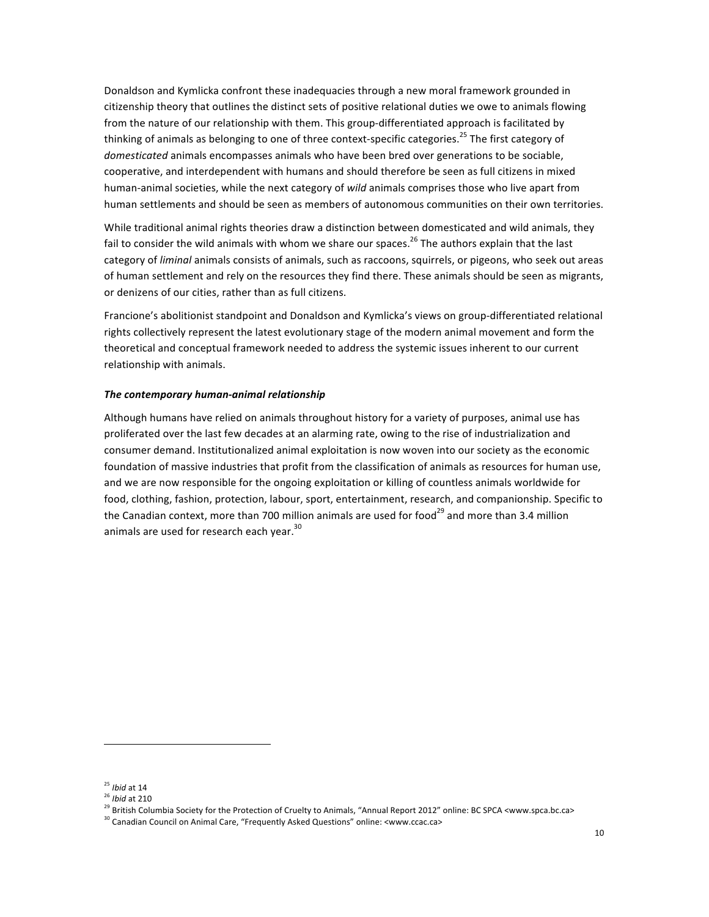Donaldson and Kymlicka confront these inadequacies through a new moral framework grounded in citizenship theory that outlines the distinct sets of positive relational duties we owe to animals flowing from the nature of our relationship with them. This group-differentiated approach is facilitated by thinking of animals as belonging to one of three context-specific categories.<sup>25</sup> The first category of domesticated animals encompasses animals who have been bred over generations to be sociable, cooperative, and interdependent with humans and should therefore be seen as full citizens in mixed human-animal societies, while the next category of *wild* animals comprises those who live apart from human settlements and should be seen as members of autonomous communities on their own territories.

While traditional animal rights theories draw a distinction between domesticated and wild animals, they fail to consider the wild animals with whom we share our spaces.<sup>26</sup> The authors explain that the last category of *liminal* animals consists of animals, such as raccoons, squirrels, or pigeons, who seek out areas of human settlement and rely on the resources they find there. These animals should be seen as migrants, or denizens of our cities, rather than as full citizens.

Francione's abolitionist standpoint and Donaldson and Kymlicka's views on group-differentiated relational rights collectively represent the latest evolutionary stage of the modern animal movement and form the theoretical and conceptual framework needed to address the systemic issues inherent to our current relationship with animals.

#### The contemporary human-animal relationship

Although humans have relied on animals throughout history for a variety of purposes, animal use has proliferated over the last few decades at an alarming rate, owing to the rise of industrialization and consumer demand. Institutionalized animal exploitation is now woven into our society as the economic foundation of massive industries that profit from the classification of animals as resources for human use, and we are now responsible for the ongoing exploitation or killing of countless animals worldwide for food, clothing, fashion, protection, labour, sport, entertainment, research, and companionship. Specific to the Canadian context, more than 700 million animals are used for food<sup>29</sup> and more than 3.4 million animals are used for research each year.<sup>30</sup>

<sup>&</sup>lt;sup>25</sup> *Ibid* at 14

<sup>&</sup>lt;sup>26</sup> *Ibid* at 210

<sup>&</sup>lt;sup>29</sup> British Columbia Society for the Protection of Cruelty to Animals, "Annual Report 2012" online: BC SPCA <www.spca.bc.ca>

<sup>&</sup>lt;sup>30</sup> Canadian Council on Animal Care, "Frequently Asked Questions" online: <www.ccac.ca>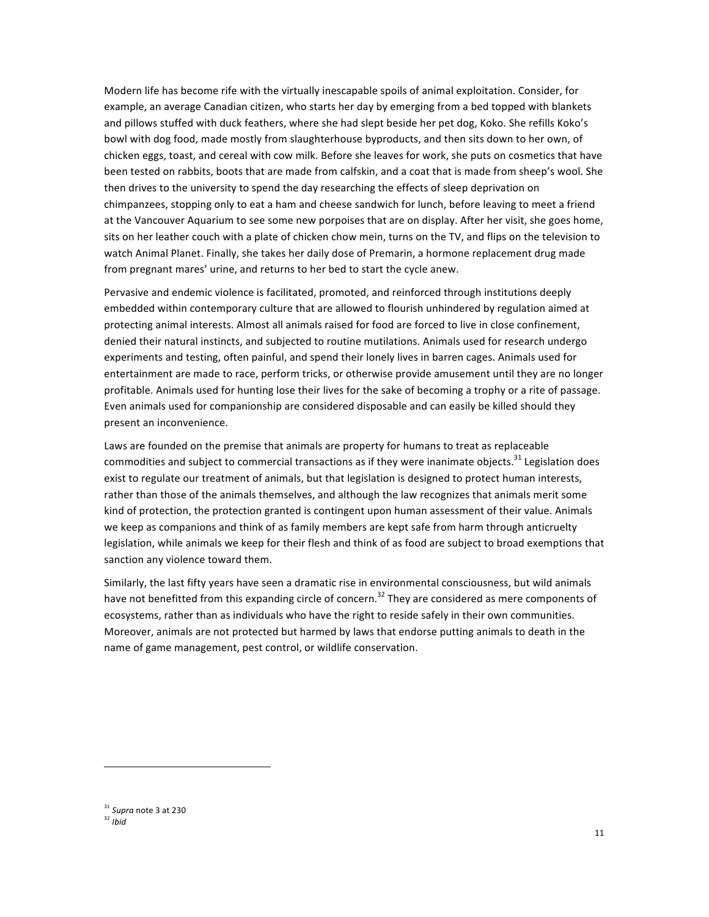Modern life has become rife with the virtually inescapable spoils of animal exploitation. Consider, for example, an average Canadian citizen, who starts her day by emerging from a bed topped with blankets and pillows stuffed with duck feathers, where she had slept beside her pet dog, Koko. She refills Koko's bowl with dog food, made mostly from slaughterhouse byproducts, and then sits down to her own, of chicken eggs, toast, and cereal with cow milk. Before she leaves for work, she puts on cosmetics that have been tested on rabbits, boots that are made from calfskin, and a coat that is made from sheep's wool. She then drives to the university to spend the day researching the effects of sleep deprivation on chimpanzees, stopping only to eat a ham and cheese sandwich for lunch, before leaving to meet a friend at the Vancouver Aquarium to see some new porpoises that are on display. After her visit, she goes home, sits on her leather couch with a plate of chicken chow mein, turns on the TV, and flips on the television to watch Animal Planet. Finally, she takes her daily dose of Premarin, a hormone replacement drug made from pregnant mares' urine, and returns to her bed to start the cycle anew.

Pervasive and endemic violence is facilitated, promoted, and reinforced through institutions deeply embedded within contemporary culture that are allowed to flourish unhindered by regulation aimed at protecting animal interests. Almost all animals raised for food are forced to live in close confinement, denied their natural instincts, and subjected to routine mutilations. Animals used for research undergo experiments and testing, often painful, and spend their lonely lives in barren cages. Animals used for entertainment are made to race, perform tricks, or otherwise provide amusement until they are no longer profitable. Animals used for hunting lose their lives for the sake of becoming a trophy or a rite of passage. Even animals used for companionship are considered disposable and can easily be killed should they present an inconvenience.

Laws are founded on the premise that animals are property for humans to treat as replaceable commodities and subject to commercial transactions as if they were inanimate objects.<sup>31</sup> Legislation does exist to regulate our treatment of animals, but that legislation is designed to protect human interests, rather than those of the animals themselves, and although the law recognizes that animals merit some kind of protection, the protection granted is contingent upon human assessment of their value. Animals we keep as companions and think of as family members are kept safe from harm through anticruelty legislation, while animals we keep for their flesh and think of as food are subject to broad exemptions that sanction any violence toward them.

Similarly, the last fifty years have seen a dramatic rise in environmental consciousness, but wild animals have not benefitted from this expanding circle of concern.<sup>32</sup> They are considered as mere components of ecosystems, rather than as individuals who have the right to reside safely in their own communities. Moreover, animals are not protected but harmed by laws that endorse putting animals to death in the name of game management, pest control, or wildlife conservation.

<sup>&</sup>lt;sup>31</sup> Supra note 3 at 230

<sup>32</sup> *Ibid*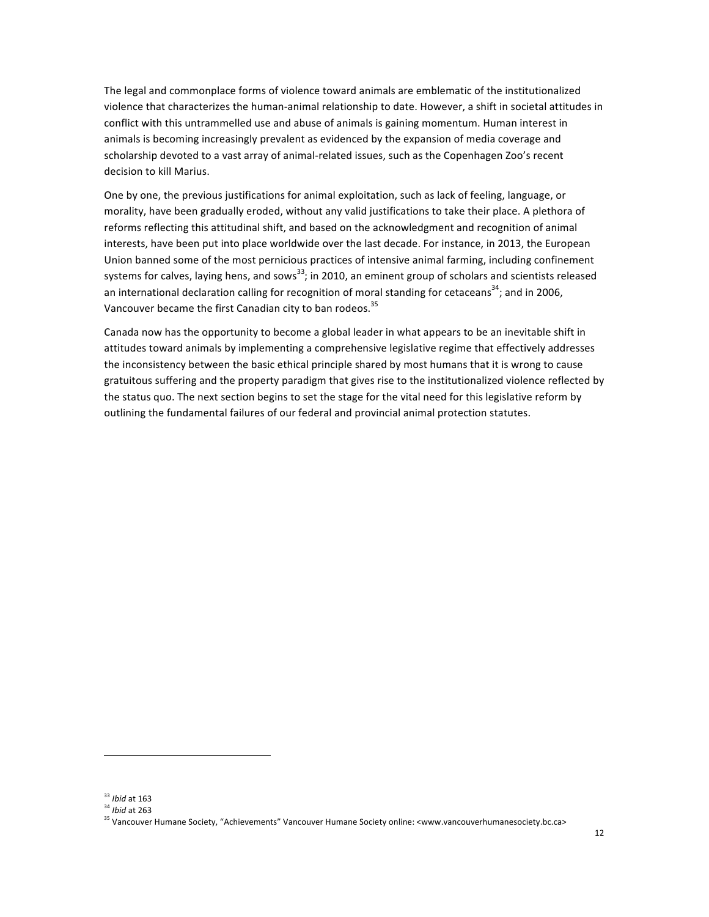The legal and commonplace forms of violence toward animals are emblematic of the institutionalized violence that characterizes the human-animal relationship to date. However, a shift in societal attitudes in conflict with this untrammelled use and abuse of animals is gaining momentum. Human interest in animals is becoming increasingly prevalent as evidenced by the expansion of media coverage and scholarship devoted to a vast array of animal-related issues, such as the Copenhagen Zoo's recent decision to kill Marius.

One by one, the previous justifications for animal exploitation, such as lack of feeling, language, or morality, have been gradually eroded, without any valid justifications to take their place. A plethora of reforms reflecting this attitudinal shift, and based on the acknowledgment and recognition of animal interests, have been put into place worldwide over the last decade. For instance, in 2013, the European Union banned some of the most pernicious practices of intensive animal farming, including confinement systems for calves, laying hens, and sows<sup>33</sup>; in 2010, an eminent group of scholars and scientists released an international declaration calling for recognition of moral standing for cetaceans<sup>34</sup>; and in 2006, Vancouver became the first Canadian city to ban rodeos.<sup>35</sup>

Canada now has the opportunity to become a global leader in what appears to be an inevitable shift in attitudes toward animals by implementing a comprehensive legislative regime that effectively addresses the inconsistency between the basic ethical principle shared by most humans that it is wrong to cause gratuitous suffering and the property paradigm that gives rise to the institutionalized violence reflected by the status quo. The next section begins to set the stage for the vital need for this legislative reform by outlining the fundamental failures of our federal and provincial animal protection statutes.

<sup>&</sup>lt;sup>33</sup> *Ibid* at 163

<sup>&</sup>lt;sup>34</sup> *Ibid* at 263

<sup>&</sup>lt;sup>35</sup> Vancouver Humane Society, "Achievements" Vancouver Humane Society online: <www.vancouverhumanesociety.bc.ca>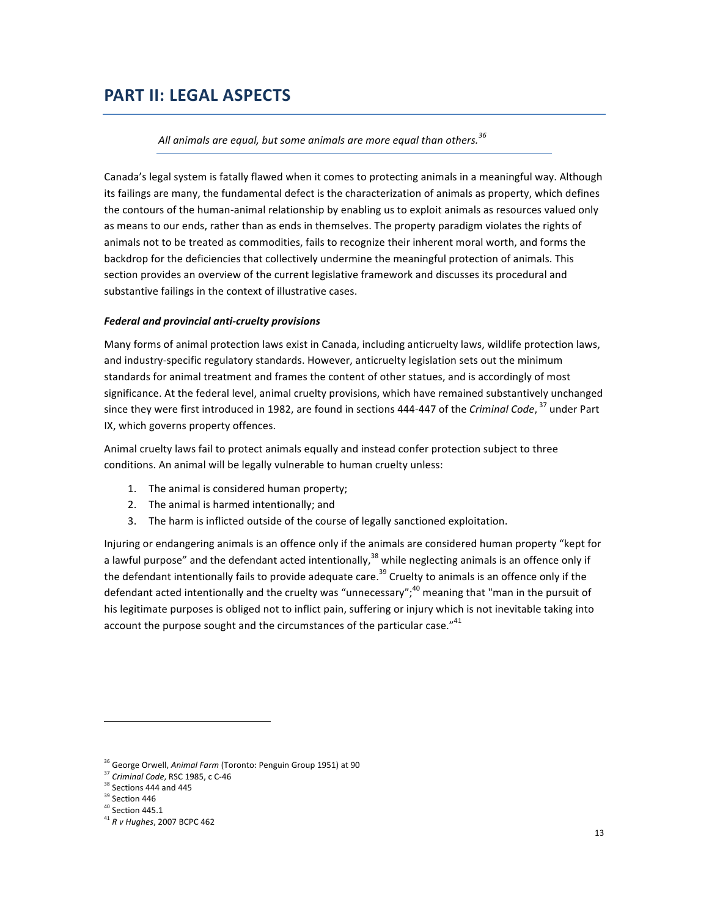## **PART II: LEGAL ASPECTS**

#### All animals are equal, but some animals are more equal than others.<sup>36</sup>

Canada's legal system is fatally flawed when it comes to protecting animals in a meaningful way. Although its failings are many, the fundamental defect is the characterization of animals as property, which defines the contours of the human-animal relationship by enabling us to exploit animals as resources valued only as means to our ends, rather than as ends in themselves. The property paradigm violates the rights of animals not to be treated as commodities, fails to recognize their inherent moral worth, and forms the backdrop for the deficiencies that collectively undermine the meaningful protection of animals. This section provides an overview of the current legislative framework and discusses its procedural and substantive failings in the context of illustrative cases.

#### *Federal and provincial anti-cruelty provisions*

Many forms of animal protection laws exist in Canada, including anticruelty laws, wildlife protection laws, and industry-specific regulatory standards. However, anticruelty legislation sets out the minimum standards for animal treatment and frames the content of other statues, and is accordingly of most significance. At the federal level, animal cruelty provisions, which have remained substantively unchanged since they were first introduced in 1982, are found in sections 444-447 of the *Criminal Code*, <sup>37</sup> under Part IX, which governs property offences.

Animal cruelty laws fail to protect animals equally and instead confer protection subject to three conditions. An animal will be legally vulnerable to human cruelty unless:

- 1. The animal is considered human property;
- 2. The animal is harmed intentionally; and
- 3. The harm is inflicted outside of the course of legally sanctioned exploitation.

Injuring or endangering animals is an offence only if the animals are considered human property "kept for a lawful purpose" and the defendant acted intentionally, $^{38}$  while neglecting animals is an offence only if the defendant intentionally fails to provide adequate care.<sup>39</sup> Cruelty to animals is an offence only if the defendant acted intentionally and the cruelty was "unnecessary";<sup>40</sup> meaning that "man in the pursuit of his legitimate purposes is obliged not to inflict pain, suffering or injury which is not inevitable taking into account the purpose sought and the circumstances of the particular case." $41$ 

<sup>&</sup>lt;sup>36</sup> George Orwell, *Animal Farm* (Toronto: Penguin Group 1951) at 90

<sup>&</sup>lt;sup>37</sup> Criminal Code, RSC 1985, c C-46

 $38$  Sections 444 and 445

 $39$  Section 446

 $^{40}$  Section 445.1

<sup>&</sup>lt;sup>41</sup> R v Hughes, 2007 BCPC 462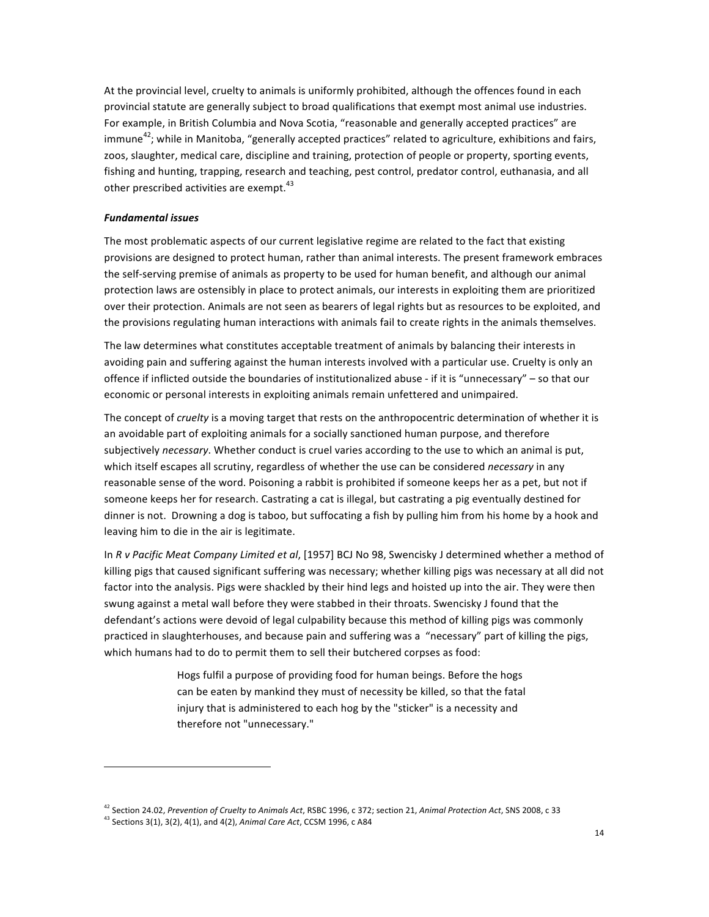At the provincial level, cruelty to animals is uniformly prohibited, although the offences found in each provincial statute are generally subject to broad qualifications that exempt most animal use industries. For example, in British Columbia and Nova Scotia, "reasonable and generally accepted practices" are immune<sup>42</sup>; while in Manitoba, "generally accepted practices" related to agriculture, exhibitions and fairs, zoos, slaughter, medical care, discipline and training, protection of people or property, sporting events, fishing and hunting, trapping, research and teaching, pest control, predator control, euthanasia, and all other prescribed activities are exempt. $43$ 

#### *Fundamental issues*

The most problematic aspects of our current legislative regime are related to the fact that existing provisions are designed to protect human, rather than animal interests. The present framework embraces the self-serving premise of animals as property to be used for human benefit, and although our animal protection laws are ostensibly in place to protect animals, our interests in exploiting them are prioritized over their protection. Animals are not seen as bearers of legal rights but as resources to be exploited, and the provisions regulating human interactions with animals fail to create rights in the animals themselves.

The law determines what constitutes acceptable treatment of animals by balancing their interests in avoiding pain and suffering against the human interests involved with a particular use. Cruelty is only an offence if inflicted outside the boundaries of institutionalized abuse - if it is "unnecessary" – so that our economic or personal interests in exploiting animals remain unfettered and unimpaired.

The concept of *cruelty* is a moving target that rests on the anthropocentric determination of whether it is an avoidable part of exploiting animals for a socially sanctioned human purpose, and therefore subjectively *necessary*. Whether conduct is cruel varies according to the use to which an animal is put, which itself escapes all scrutiny, regardless of whether the use can be considered *necessary* in any reasonable sense of the word. Poisoning a rabbit is prohibited if someone keeps her as a pet, but not if someone keeps her for research. Castrating a cat is illegal, but castrating a pig eventually destined for dinner is not. Drowning a dog is taboo, but suffocating a fish by pulling him from his home by a hook and leaving him to die in the air is legitimate.

In *R* v Pacific Meat Company Limited et al, [1957] BCJ No 98, Swencisky J determined whether a method of killing pigs that caused significant suffering was necessary; whether killing pigs was necessary at all did not factor into the analysis. Pigs were shackled by their hind legs and hoisted up into the air. They were then swung against a metal wall before they were stabbed in their throats. Swencisky J found that the defendant's actions were devoid of legal culpability because this method of killing pigs was commonly practiced in slaughterhouses, and because pain and suffering was a "necessary" part of killing the pigs, which humans had to do to permit them to sell their butchered corpses as food:

> Hogs fulfil a purpose of providing food for human beings. Before the hogs can be eaten by mankind they must of necessity be killed, so that the fatal injury that is administered to each hog by the "sticker" is a necessity and therefore not "unnecessary."

<sup>&</sup>lt;sup>42</sup> Section 24.02, Prevention of Cruelty to Animals Act, RSBC 1996, c 372; section 21, Animal Protection Act, SNS 2008, c 33

<sup>&</sup>lt;sup>43</sup> Sections 3(1), 3(2), 4(1), and 4(2), *Animal Care Act*, CCSM 1996, c A84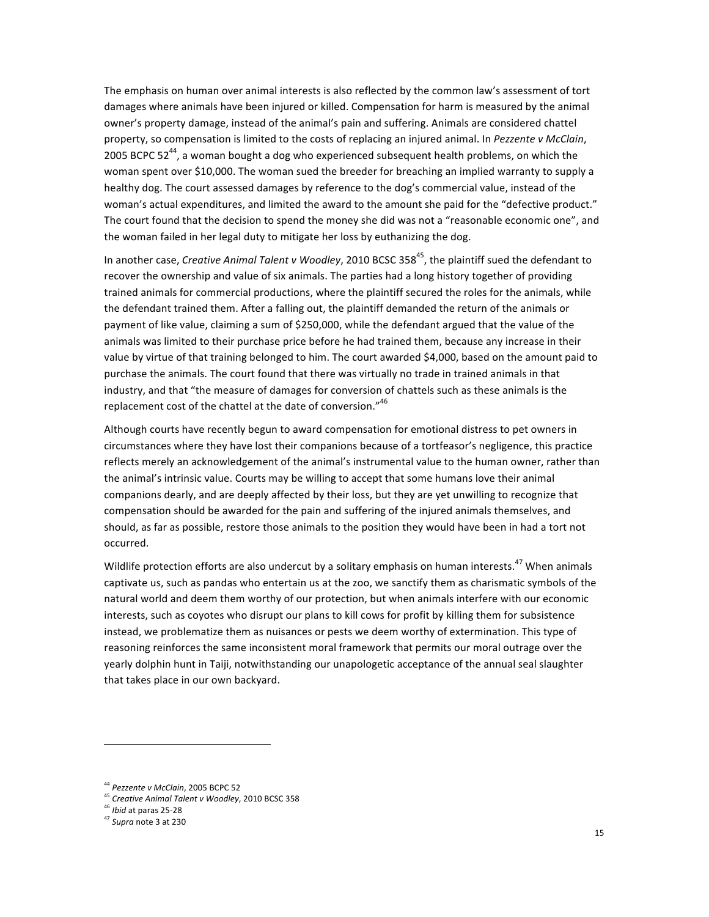The emphasis on human over animal interests is also reflected by the common law's assessment of tort damages where animals have been injured or killed. Compensation for harm is measured by the animal owner's property damage, instead of the animal's pain and suffering. Animals are considered chattel property, so compensation is limited to the costs of replacing an injured animal. In *Pezzente v McClain*, 2005 BCPC 52<sup>44</sup>, a woman bought a dog who experienced subsequent health problems, on which the woman spent over \$10,000. The woman sued the breeder for breaching an implied warranty to supply a healthy dog. The court assessed damages by reference to the dog's commercial value, instead of the woman's actual expenditures, and limited the award to the amount she paid for the "defective product." The court found that the decision to spend the money she did was not a "reasonable economic one", and the woman failed in her legal duty to mitigate her loss by euthanizing the dog.

In another case, *Creative Animal Talent v Woodley*, 2010 BCSC 358<sup>45</sup>, the plaintiff sued the defendant to recover the ownership and value of six animals. The parties had a long history together of providing trained animals for commercial productions, where the plaintiff secured the roles for the animals, while the defendant trained them. After a falling out, the plaintiff demanded the return of the animals or payment of like value, claiming a sum of \$250,000, while the defendant argued that the value of the animals was limited to their purchase price before he had trained them, because any increase in their value by virtue of that training belonged to him. The court awarded \$4,000, based on the amount paid to purchase the animals. The court found that there was virtually no trade in trained animals in that industry, and that "the measure of damages for conversion of chattels such as these animals is the replacement cost of the chattel at the date of conversion."<sup>46</sup>

Although courts have recently begun to award compensation for emotional distress to pet owners in circumstances where they have lost their companions because of a tortfeasor's negligence, this practice reflects merely an acknowledgement of the animal's instrumental value to the human owner, rather than the animal's intrinsic value. Courts may be willing to accept that some humans love their animal companions dearly, and are deeply affected by their loss, but they are yet unwilling to recognize that compensation should be awarded for the pain and suffering of the injured animals themselves, and should, as far as possible, restore those animals to the position they would have been in had a tort not occurred.

Wildlife protection efforts are also undercut by a solitary emphasis on human interests.<sup>47</sup> When animals captivate us, such as pandas who entertain us at the zoo, we sanctify them as charismatic symbols of the natural world and deem them worthy of our protection, but when animals interfere with our economic interests, such as coyotes who disrupt our plans to kill cows for profit by killing them for subsistence instead, we problematize them as nuisances or pests we deem worthy of extermination. This type of reasoning reinforces the same inconsistent moral framework that permits our moral outrage over the yearly dolphin hunt in Taiji, notwithstanding our unapologetic acceptance of the annual seal slaughter that takes place in our own backyard.

<sup>&</sup>lt;sup>44</sup> Pezzente v McClain, 2005 BCPC 52

<sup>&</sup>lt;sup>45</sup> Creative Animal Talent v Woodley, 2010 BCSC 358

<sup>&</sup>lt;sup>46</sup> *Ibid* at paras 25-28

<sup>&</sup>lt;sup>47</sup> Supra note 3 at 230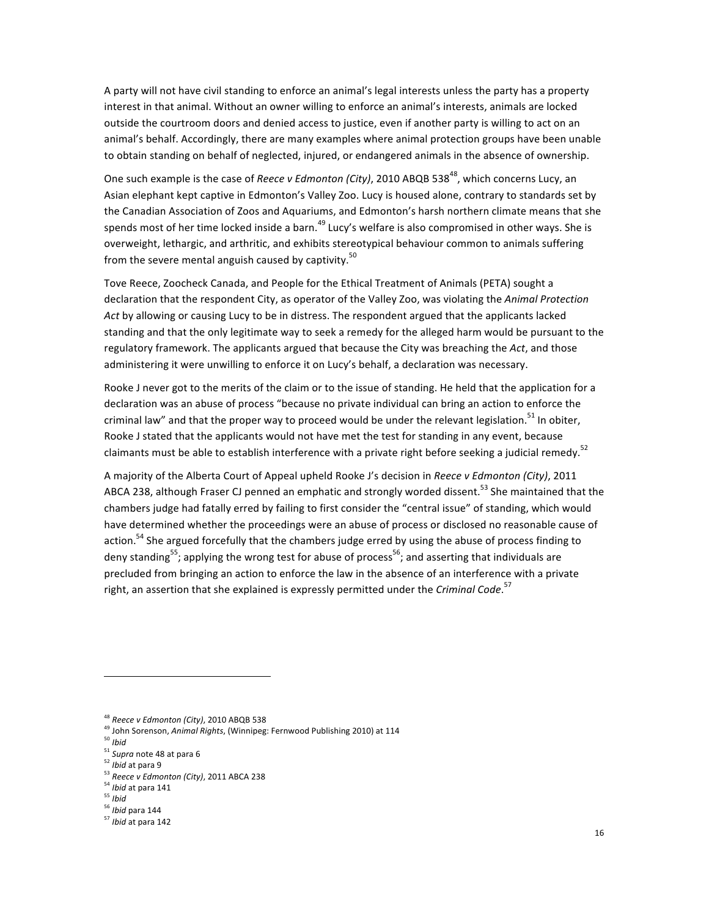A party will not have civil standing to enforce an animal's legal interests unless the party has a property interest in that animal. Without an owner willing to enforce an animal's interests, animals are locked outside the courtroom doors and denied access to justice, even if another party is willing to act on an animal's behalf. Accordingly, there are many examples where animal protection groups have been unable to obtain standing on behalf of neglected, injured, or endangered animals in the absence of ownership.

One such example is the case of *Reece v Edmonton (City)*, 2010 ABQB 538<sup>48</sup>, which concerns Lucy, an Asian elephant kept captive in Edmonton's Valley Zoo. Lucy is housed alone, contrary to standards set by the Canadian Association of Zoos and Aquariums, and Edmonton's harsh northern climate means that she spends most of her time locked inside a barn.<sup>49</sup> Lucy's welfare is also compromised in other ways. She is overweight, lethargic, and arthritic, and exhibits stereotypical behaviour common to animals suffering from the severe mental anguish caused by captivity. $50$ 

Tove Reece, Zoocheck Canada, and People for the Ethical Treatment of Animals (PETA) sought a declaration that the respondent City, as operator of the Valley Zoo, was violating the *Animal Protection* Act by allowing or causing Lucy to be in distress. The respondent argued that the applicants lacked standing and that the only legitimate way to seek a remedy for the alleged harm would be pursuant to the regulatory framework. The applicants argued that because the City was breaching the Act, and those administering it were unwilling to enforce it on Lucy's behalf, a declaration was necessary.

Rooke J never got to the merits of the claim or to the issue of standing. He held that the application for a declaration was an abuse of process "because no private individual can bring an action to enforce the criminal law" and that the proper way to proceed would be under the relevant legislation.<sup>51</sup> In obiter, Rooke J stated that the applicants would not have met the test for standing in any event, because claimants must be able to establish interference with a private right before seeking a judicial remedy.<sup>52</sup>

A majority of the Alberta Court of Appeal upheld Rooke J's decision in Reece v Edmonton (City), 2011 ABCA 238, although Fraser CJ penned an emphatic and strongly worded dissent.<sup>53</sup> She maintained that the chambers judge had fatally erred by failing to first consider the "central issue" of standing, which would have determined whether the proceedings were an abuse of process or disclosed no reasonable cause of action.<sup>54</sup> She argued forcefully that the chambers judge erred by using the abuse of process finding to deny standing<sup>55</sup>; applying the wrong test for abuse of process<sup>56</sup>; and asserting that individuals are precluded from bringing an action to enforce the law in the absence of an interference with a private right, an assertion that she explained is expressly permitted under the *Criminal Code*.<sup>57</sup>

- <sup>52</sup> *Ibid* at para 9
- <sup>53</sup> Reece v Edmonton (City), 2011 ABCA 238
- <sup>54</sup> *Ibid* at para 141
- <sup>55</sup> *Ibid*
- <sup>56</sup> Ibid para 144

<sup>&</sup>lt;sup>48</sup> Reece v Edmonton (City), 2010 ABQB 538

<sup>49</sup> John Sorenson, *Animal Rights*, (Winnipeg: Fernwood Publishing 2010) at 114

<sup>50</sup> *Ibid*

<sup>&</sup>lt;sup>51</sup> Supra note 48 at para 6

<sup>&</sup>lt;sup>57</sup> *Ibid* at para 142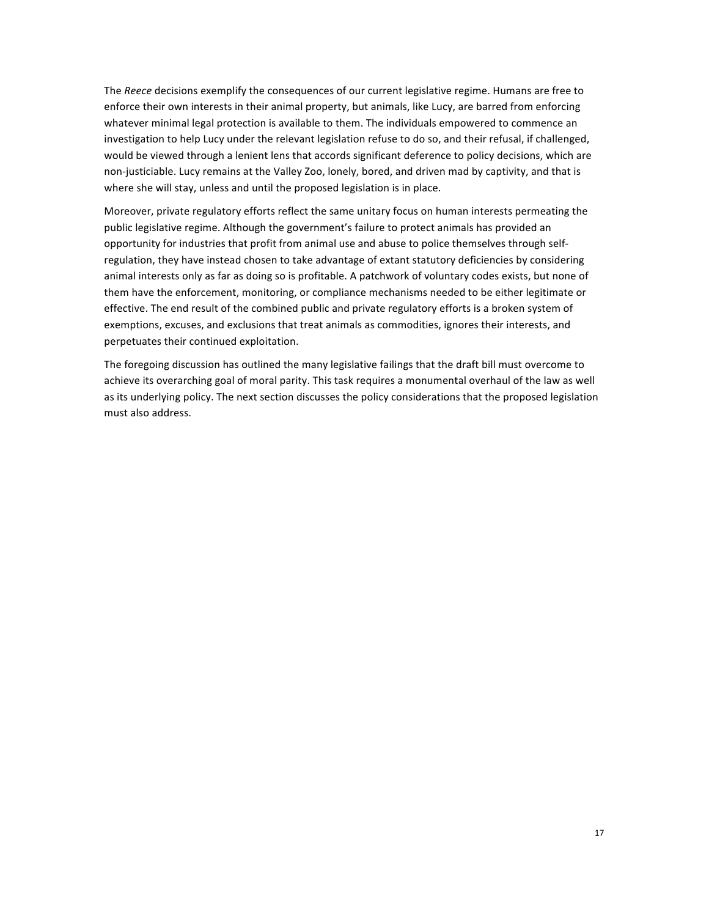The *Reece* decisions exemplify the consequences of our current legislative regime. Humans are free to enforce their own interests in their animal property, but animals, like Lucy, are barred from enforcing whatever minimal legal protection is available to them. The individuals empowered to commence an investigation to help Lucy under the relevant legislation refuse to do so, and their refusal, if challenged, would be viewed through a lenient lens that accords significant deference to policy decisions, which are non-justiciable. Lucy remains at the Valley Zoo, lonely, bored, and driven mad by captivity, and that is where she will stay, unless and until the proposed legislation is in place.

Moreover, private regulatory efforts reflect the same unitary focus on human interests permeating the public legislative regime. Although the government's failure to protect animals has provided an opportunity for industries that profit from animal use and abuse to police themselves through selfregulation, they have instead chosen to take advantage of extant statutory deficiencies by considering animal interests only as far as doing so is profitable. A patchwork of voluntary codes exists, but none of them have the enforcement, monitoring, or compliance mechanisms needed to be either legitimate or effective. The end result of the combined public and private regulatory efforts is a broken system of exemptions, excuses, and exclusions that treat animals as commodities, ignores their interests, and perpetuates their continued exploitation.

The foregoing discussion has outlined the many legislative failings that the draft bill must overcome to achieve its overarching goal of moral parity. This task requires a monumental overhaul of the law as well as its underlying policy. The next section discusses the policy considerations that the proposed legislation must also address.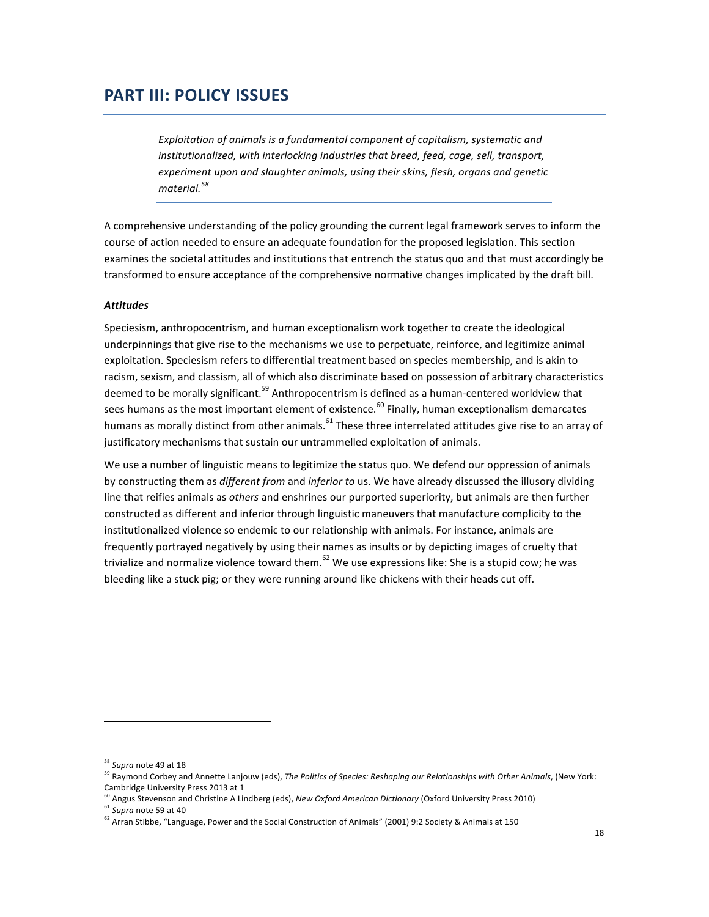## **PART III: POLICY ISSUES**

Exploitation of animals is a fundamental component of capitalism, systematic and *institutionalized, with interlocking industries that breed, feed, cage, sell, transport,* experiment upon and slaughter animals, using their skins, flesh, organs and genetic *material.<sup>58</sup>*

A comprehensive understanding of the policy grounding the current legal framework serves to inform the course of action needed to ensure an adequate foundation for the proposed legislation. This section examines the societal attitudes and institutions that entrench the status quo and that must accordingly be transformed to ensure acceptance of the comprehensive normative changes implicated by the draft bill.

#### *Attitudes*

Speciesism, anthropocentrism, and human exceptionalism work together to create the ideological underpinnings that give rise to the mechanisms we use to perpetuate, reinforce, and legitimize animal exploitation. Speciesism refers to differential treatment based on species membership, and is akin to racism, sexism, and classism, all of which also discriminate based on possession of arbitrary characteristics deemed to be morally significant.<sup>59</sup> Anthropocentrism is defined as a human-centered worldview that sees humans as the most important element of existence.<sup>60</sup> Finally, human exceptionalism demarcates humans as morally distinct from other animals.  $^{61}$  These three interrelated attitudes give rise to an array of justificatory mechanisms that sustain our untrammelled exploitation of animals.

We use a number of linguistic means to legitimize the status quo. We defend our oppression of animals by constructing them as *different from* and *inferior* to us. We have already discussed the illusory dividing line that reifies animals as *others* and enshrines our purported superiority, but animals are then further constructed as different and inferior through linguistic maneuvers that manufacture complicity to the institutionalized violence so endemic to our relationship with animals. For instance, animals are frequently portrayed negatively by using their names as insults or by depicting images of cruelty that trivialize and normalize violence toward them.<sup>62</sup> We use expressions like: She is a stupid cow; he was bleeding like a stuck pig; or they were running around like chickens with their heads cut off.

<sup>&</sup>lt;sup>58</sup> Supra note 49 at 18

<sup>&</sup>lt;sup>59</sup> Raymond Corbey and Annette Lanjouw (eds), *The Politics of Species: Reshaping our Relationships with Other Animals*, (New York: Cambridge University Press 2013 at 1  $^{60}$  Angus Cu

Angus Stevenson and Christine A Lindberg (eds), New Oxford American Dictionary (Oxford University Press 2010)

 $61$  *Supra* note 59 at 40

 $^{62}$  Arran Stibbe, "Language, Power and the Social Construction of Animals" (2001) 9:2 Society & Animals at 150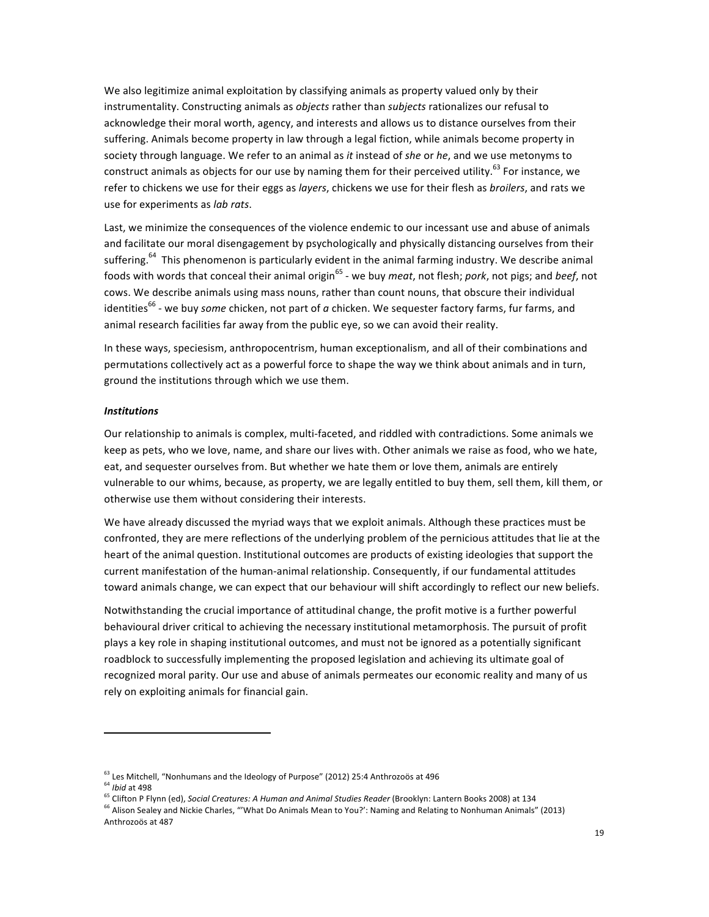We also legitimize animal exploitation by classifying animals as property valued only by their instrumentality. Constructing animals as *objects* rather than *subjects* rationalizes our refusal to acknowledge their moral worth, agency, and interests and allows us to distance ourselves from their suffering. Animals become property in law through a legal fiction, while animals become property in society through language. We refer to an animal as *it* instead of *she* or he, and we use metonyms to construct animals as objects for our use by naming them for their perceived utility.<sup>63</sup> For instance, we refer to chickens we use for their eggs as *layers*, chickens we use for their flesh as *broilers*, and rats we use for experiments as *lab rats*.

Last, we minimize the consequences of the violence endemic to our incessant use and abuse of animals and facilitate our moral disengagement by psychologically and physically distancing ourselves from their suffering.<sup>64</sup> This phenomenon is particularly evident in the animal farming industry. We describe animal foods with words that conceal their animal origin<sup>65</sup> - we buy *meat*, not flesh; *pork*, not pigs; and *beef*, not cows. We describe animals using mass nouns, rather than count nouns, that obscure their individual identities<sup>66</sup> - we buy *some* chicken, not part of *a* chicken. We sequester factory farms, fur farms, and animal research facilities far away from the public eye, so we can avoid their reality.

In these ways, speciesism, anthropocentrism, human exceptionalism, and all of their combinations and permutations collectively act as a powerful force to shape the way we think about animals and in turn, ground the institutions through which we use them.

#### *Institutions*

Our relationship to animals is complex, multi-faceted, and riddled with contradictions. Some animals we keep as pets, who we love, name, and share our lives with. Other animals we raise as food, who we hate, eat, and sequester ourselves from. But whether we hate them or love them, animals are entirely vulnerable to our whims, because, as property, we are legally entitled to buy them, sell them, kill them, or otherwise use them without considering their interests.

We have already discussed the myriad ways that we exploit animals. Although these practices must be confronted, they are mere reflections of the underlying problem of the pernicious attitudes that lie at the heart of the animal question. Institutional outcomes are products of existing ideologies that support the current manifestation of the human-animal relationship. Consequently, if our fundamental attitudes toward animals change, we can expect that our behaviour will shift accordingly to reflect our new beliefs.

Notwithstanding the crucial importance of attitudinal change, the profit motive is a further powerful behavioural driver critical to achieving the necessary institutional metamorphosis. The pursuit of profit plays a key role in shaping institutional outcomes, and must not be ignored as a potentially significant roadblock to successfully implementing the proposed legislation and achieving its ultimate goal of recognized moral parity. Our use and abuse of animals permeates our economic reality and many of us rely on exploiting animals for financial gain.

 $^{63}$  Les Mitchell, "Nonhumans and the Ideology of Purpose" (2012) 25:4 Anthrozoös at 496

<sup>&</sup>lt;sup>64</sup> *Ibid* at 498

<sup>65&</sup>lt;br>Clifton P Flynn (ed), *Social Creatures: A Human and Animal Studies Reader* (Brooklyn: Lantern Books 2008) at 134

<sup>&</sup>lt;sup>66</sup> Alison Sealey and Nickie Charles, "'What Do Animals Mean to You?': Naming and Relating to Nonhuman Animals" (2013) Anthrozoös at 487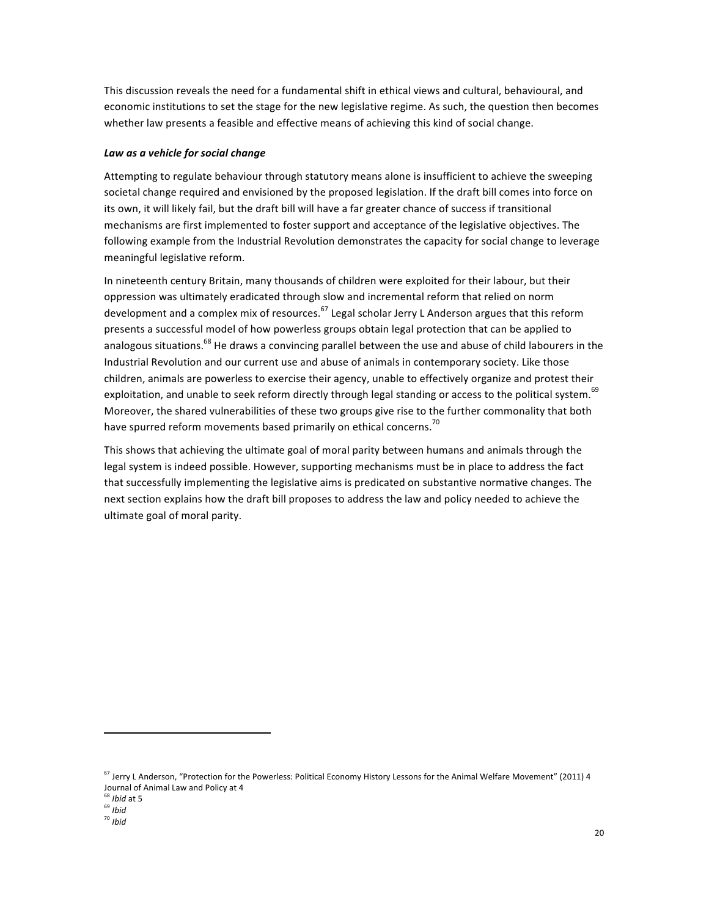This discussion reveals the need for a fundamental shift in ethical views and cultural, behavioural, and economic institutions to set the stage for the new legislative regime. As such, the question then becomes whether law presents a feasible and effective means of achieving this kind of social change.

## *Law as a vehicle for social change*

Attempting to regulate behaviour through statutory means alone is insufficient to achieve the sweeping societal change required and envisioned by the proposed legislation. If the draft bill comes into force on its own, it will likely fail, but the draft bill will have a far greater chance of success if transitional mechanisms are first implemented to foster support and acceptance of the legislative objectives. The following example from the Industrial Revolution demonstrates the capacity for social change to leverage meaningful legislative reform.

In nineteenth century Britain, many thousands of children were exploited for their labour, but their oppression was ultimately eradicated through slow and incremental reform that relied on norm development and a complex mix of resources.<sup>67</sup> Legal scholar Jerry L Anderson argues that this reform presents a successful model of how powerless groups obtain legal protection that can be applied to analogous situations.<sup>68</sup> He draws a convincing parallel between the use and abuse of child labourers in the Industrial Revolution and our current use and abuse of animals in contemporary society. Like those children, animals are powerless to exercise their agency, unable to effectively organize and protest their exploitation, and unable to seek reform directly through legal standing or access to the political system.<sup>69</sup> Moreover, the shared vulnerabilities of these two groups give rise to the further commonality that both have spurred reform movements based primarily on ethical concerns.<sup>70</sup>

This shows that achieving the ultimate goal of moral parity between humans and animals through the legal system is indeed possible. However, supporting mechanisms must be in place to address the fact that successfully implementing the legislative aims is predicated on substantive normative changes. The next section explains how the draft bill proposes to address the law and policy needed to achieve the ultimate goal of moral parity.

 $67$  Jerry L Anderson, "Protection for the Powerless: Political Economy History Lessons for the Animal Welfare Movement" (2011) 4 Journal of Animal Law and Policy at 4

<sup>&</sup>lt;sup>68</sup> *Ibid* at 5

<sup>69</sup> *Ibid*

<sup>70</sup> *Ibid*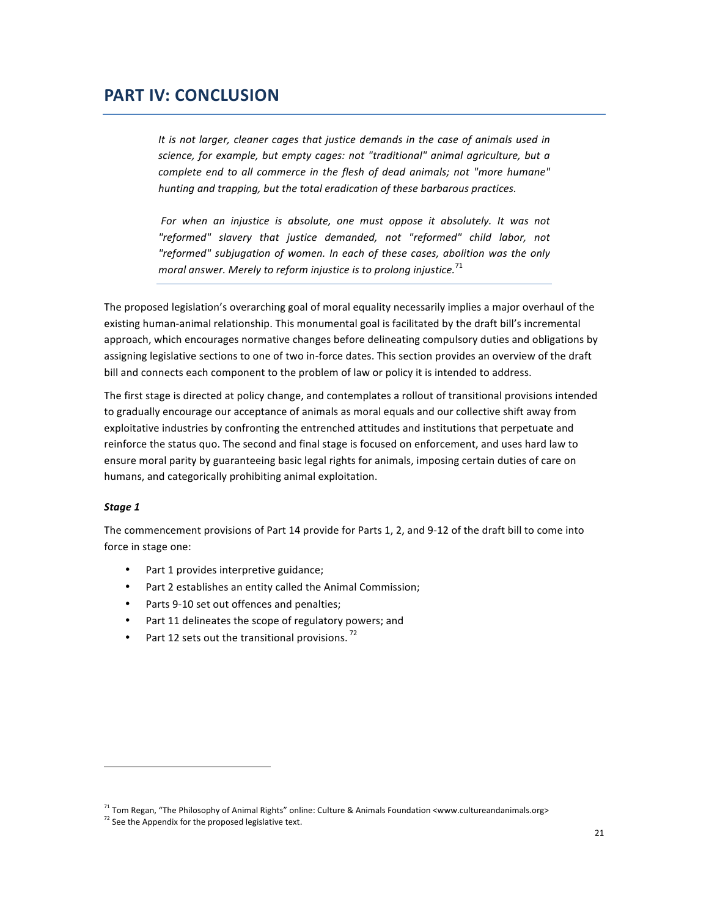## **PART IV: CONCLUSION**

It is not larger, cleaner cages that justice demands in the case of animals used in *science, for example, but empty cages: not "traditional" animal agriculture, but a* complete end to all commerce in the flesh of dead animals; not "more humane" *hunting and trapping, but the total eradication of these barbarous practices.* 

For when an injustice is absolute, one must oppose it absolutely. It was not *"reformed" slavery that justice demanded, not "reformed" child labor, not "reformed" subjugation of women. In each of these cases, abolition was the only moral answer.* Merely to reform injustice is to prolong injustice.<sup>71</sup>

The proposed legislation's overarching goal of moral equality necessarily implies a major overhaul of the existing human-animal relationship. This monumental goal is facilitated by the draft bill's incremental approach, which encourages normative changes before delineating compulsory duties and obligations by assigning legislative sections to one of two in-force dates. This section provides an overview of the draft bill and connects each component to the problem of law or policy it is intended to address.

The first stage is directed at policy change, and contemplates a rollout of transitional provisions intended to gradually encourage our acceptance of animals as moral equals and our collective shift away from exploitative industries by confronting the entrenched attitudes and institutions that perpetuate and reinforce the status quo. The second and final stage is focused on enforcement, and uses hard law to ensure moral parity by guaranteeing basic legal rights for animals, imposing certain duties of care on humans, and categorically prohibiting animal exploitation.

#### *Stage 1*

The commencement provisions of Part 14 provide for Parts 1, 2, and 9-12 of the draft bill to come into force in stage one:

- Part 1 provides interpretive guidance;
- Part 2 establishes an entity called the Animal Commission;
- Parts 9-10 set out offences and penalties;
- Part 11 delineates the scope of regulatory powers; and
- Part 12 sets out the transitional provisions.<sup>72</sup>

 $71$  Tom Regan, "The Philosophy of Animal Rights" online: Culture & Animals Foundation <www.cultureandanimals.org>

 $72$  See the Appendix for the proposed legislative text.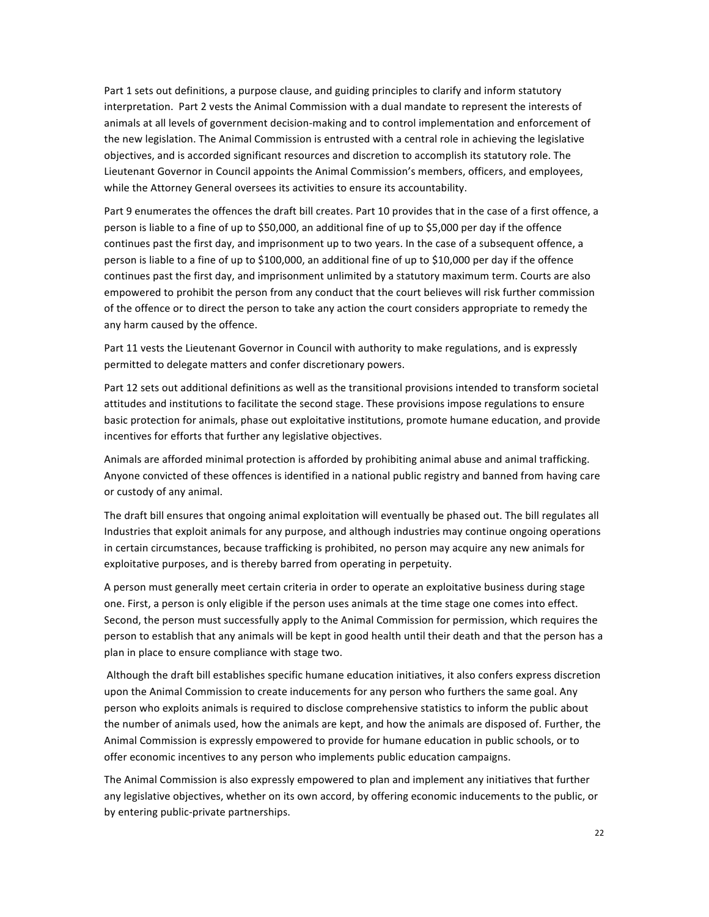Part 1 sets out definitions, a purpose clause, and guiding principles to clarify and inform statutory interpretation. Part 2 vests the Animal Commission with a dual mandate to represent the interests of animals at all levels of government decision-making and to control implementation and enforcement of the new legislation. The Animal Commission is entrusted with a central role in achieving the legislative objectives, and is accorded significant resources and discretion to accomplish its statutory role. The Lieutenant Governor in Council appoints the Animal Commission's members, officers, and employees, while the Attorney General oversees its activities to ensure its accountability.

Part 9 enumerates the offences the draft bill creates. Part 10 provides that in the case of a first offence, a person is liable to a fine of up to \$50,000, an additional fine of up to \$5,000 per day if the offence continues past the first day, and imprisonment up to two years. In the case of a subsequent offence, a person is liable to a fine of up to \$100,000, an additional fine of up to \$10,000 per day if the offence continues past the first day, and imprisonment unlimited by a statutory maximum term. Courts are also empowered to prohibit the person from any conduct that the court believes will risk further commission of the offence or to direct the person to take any action the court considers appropriate to remedy the any harm caused by the offence.

Part 11 vests the Lieutenant Governor in Council with authority to make regulations, and is expressly permitted to delegate matters and confer discretionary powers.

Part 12 sets out additional definitions as well as the transitional provisions intended to transform societal attitudes and institutions to facilitate the second stage. These provisions impose regulations to ensure basic protection for animals, phase out exploitative institutions, promote humane education, and provide incentives for efforts that further any legislative objectives.

Animals are afforded minimal protection is afforded by prohibiting animal abuse and animal trafficking. Anyone convicted of these offences is identified in a national public registry and banned from having care or custody of any animal.

The draft bill ensures that ongoing animal exploitation will eventually be phased out. The bill regulates all Industries that exploit animals for any purpose, and although industries may continue ongoing operations in certain circumstances, because trafficking is prohibited, no person may acquire any new animals for exploitative purposes, and is thereby barred from operating in perpetuity.

A person must generally meet certain criteria in order to operate an exploitative business during stage one. First, a person is only eligible if the person uses animals at the time stage one comes into effect. Second, the person must successfully apply to the Animal Commission for permission, which requires the person to establish that any animals will be kept in good health until their death and that the person has a plan in place to ensure compliance with stage two.

Although the draft bill establishes specific humane education initiatives, it also confers express discretion upon the Animal Commission to create inducements for any person who furthers the same goal. Any person who exploits animals is required to disclose comprehensive statistics to inform the public about the number of animals used, how the animals are kept, and how the animals are disposed of. Further, the Animal Commission is expressly empowered to provide for humane education in public schools, or to offer economic incentives to any person who implements public education campaigns.

The Animal Commission is also expressly empowered to plan and implement any initiatives that further any legislative objectives, whether on its own accord, by offering economic inducements to the public, or by entering public-private partnerships.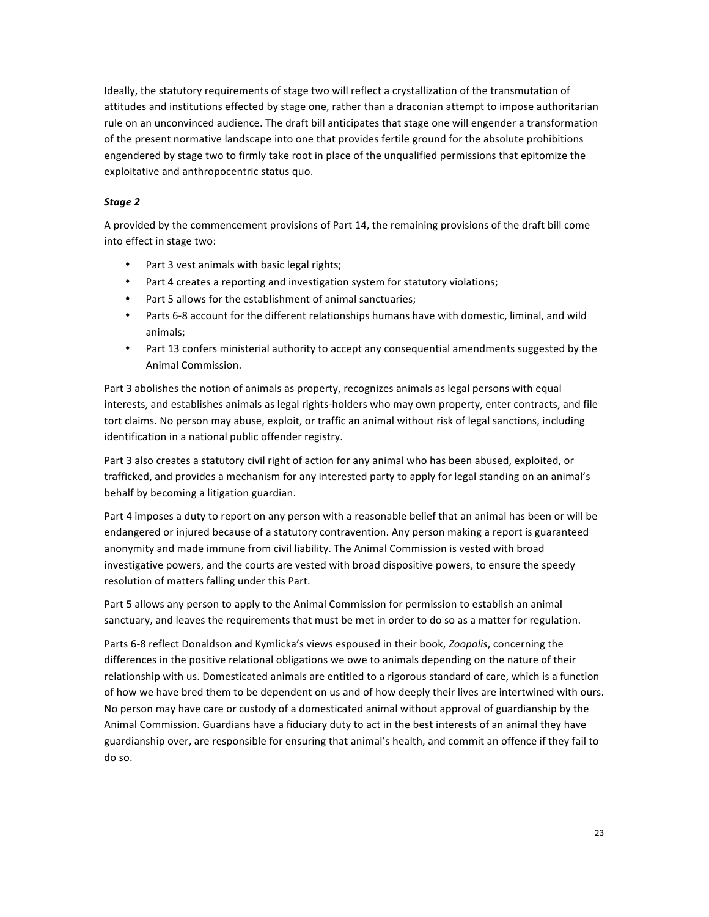Ideally, the statutory requirements of stage two will reflect a crystallization of the transmutation of attitudes and institutions effected by stage one, rather than a draconian attempt to impose authoritarian rule on an unconvinced audience. The draft bill anticipates that stage one will engender a transformation of the present normative landscape into one that provides fertile ground for the absolute prohibitions engendered by stage two to firmly take root in place of the unqualified permissions that epitomize the exploitative and anthropocentric status quo.

## *Stage 2*

A provided by the commencement provisions of Part 14, the remaining provisions of the draft bill come into effect in stage two:

- Part 3 vest animals with basic legal rights;
- Part 4 creates a reporting and investigation system for statutory violations;
- Part 5 allows for the establishment of animal sanctuaries;
- Parts 6-8 account for the different relationships humans have with domestic, liminal, and wild animals;
- Part 13 confers ministerial authority to accept any consequential amendments suggested by the Animal Commission.

Part 3 abolishes the notion of animals as property, recognizes animals as legal persons with equal interests, and establishes animals as legal rights-holders who may own property, enter contracts, and file tort claims. No person may abuse, exploit, or traffic an animal without risk of legal sanctions, including identification in a national public offender registry.

Part 3 also creates a statutory civil right of action for any animal who has been abused, exploited, or trafficked, and provides a mechanism for any interested party to apply for legal standing on an animal's behalf by becoming a litigation guardian.

Part 4 imposes a duty to report on any person with a reasonable belief that an animal has been or will be endangered or injured because of a statutory contravention. Any person making a report is guaranteed anonymity and made immune from civil liability. The Animal Commission is vested with broad investigative powers, and the courts are vested with broad dispositive powers, to ensure the speedy resolution of matters falling under this Part.

Part 5 allows any person to apply to the Animal Commission for permission to establish an animal sanctuary, and leaves the requirements that must be met in order to do so as a matter for regulation.

Parts 6-8 reflect Donaldson and Kymlicka's views espoused in their book, *Zoopolis*, concerning the differences in the positive relational obligations we owe to animals depending on the nature of their relationship with us. Domesticated animals are entitled to a rigorous standard of care, which is a function of how we have bred them to be dependent on us and of how deeply their lives are intertwined with ours. No person may have care or custody of a domesticated animal without approval of guardianship by the Animal Commission. Guardians have a fiduciary duty to act in the best interests of an animal they have guardianship over, are responsible for ensuring that animal's health, and commit an offence if they fail to do so.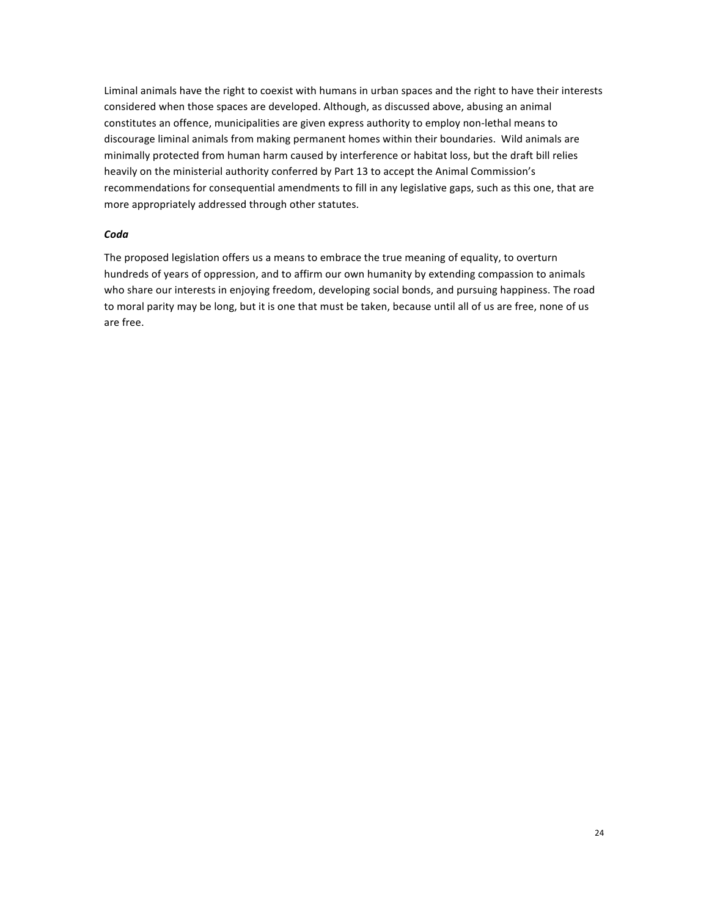Liminal animals have the right to coexist with humans in urban spaces and the right to have their interests considered when those spaces are developed. Although, as discussed above, abusing an animal constitutes an offence, municipalities are given express authority to employ non-lethal means to discourage liminal animals from making permanent homes within their boundaries. Wild animals are minimally protected from human harm caused by interference or habitat loss, but the draft bill relies heavily on the ministerial authority conferred by Part 13 to accept the Animal Commission's recommendations for consequential amendments to fill in any legislative gaps, such as this one, that are more appropriately addressed through other statutes.

#### *Coda*

The proposed legislation offers us a means to embrace the true meaning of equality, to overturn hundreds of years of oppression, and to affirm our own humanity by extending compassion to animals who share our interests in enjoying freedom, developing social bonds, and pursuing happiness. The road to moral parity may be long, but it is one that must be taken, because until all of us are free, none of us are free.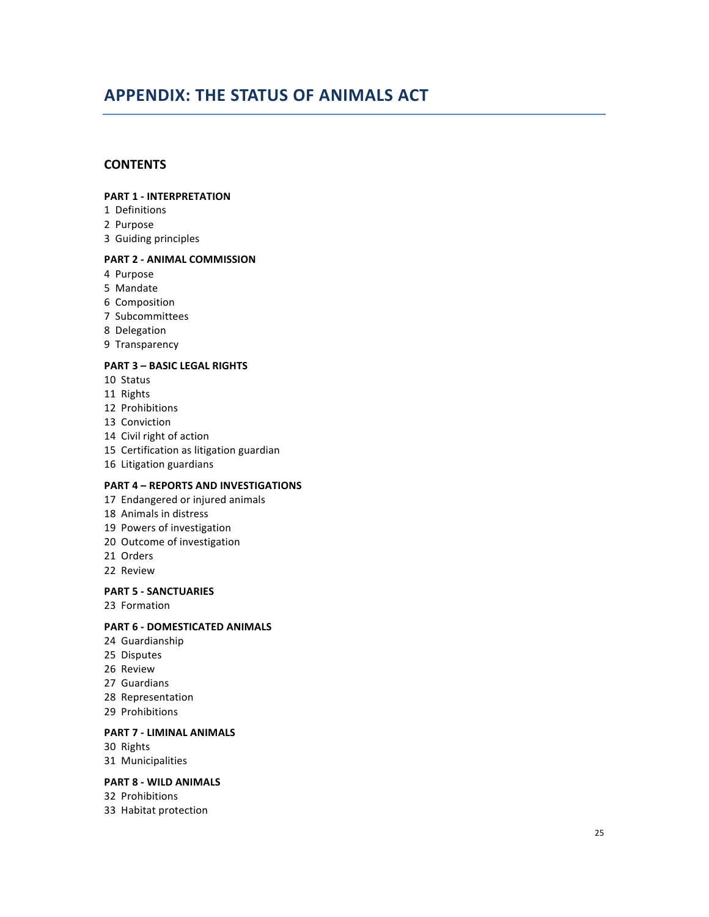# **APPENDIX: THE STATUS OF ANIMALS ACT**

## **CONTENTS**

#### **PART 1 - INTERPRETATION**

- 1 Definitions
- 2 Purpose
- 3 Guiding principles

#### **PART 2 - ANIMAL COMMISSION**

- 4 Purpose
- 5 Mandate
- 6 Composition
- 7 Subcommittees
- 8 Delegation
- 9 Transparency

## **PART 3 - BASIC LEGAL RIGHTS**

- 10 Status
- 11 Rights
- 12 Prohibitions
- 13 Conviction
- 14 Civil right of action
- 15 Certification as litigation guardian
- 16 Litigation guardians

### **PART 4 - REPORTS AND INVESTIGATIONS**

- 17 Endangered or injured animals
- 18 Animals in distress
- 19 Powers of investigation
- 20 Outcome of investigation
- 21 Orders
- 22 Review

## **PART 5 - SANCTUARIES**

23 Formation

## **PART 6 - DOMESTICATED ANIMALS**

- 24 Guardianship
- 25 Disputes
- 26 Review
- 27 Guardians
- 28 Representation
- 29 Prohibitions

## **PART 7 - LIMINAL ANIMALS**

- 30 Rights
- 31 Municipalities

#### **PART 8 - WILD ANIMALS**

32 Prohibitions

33 Habitat protection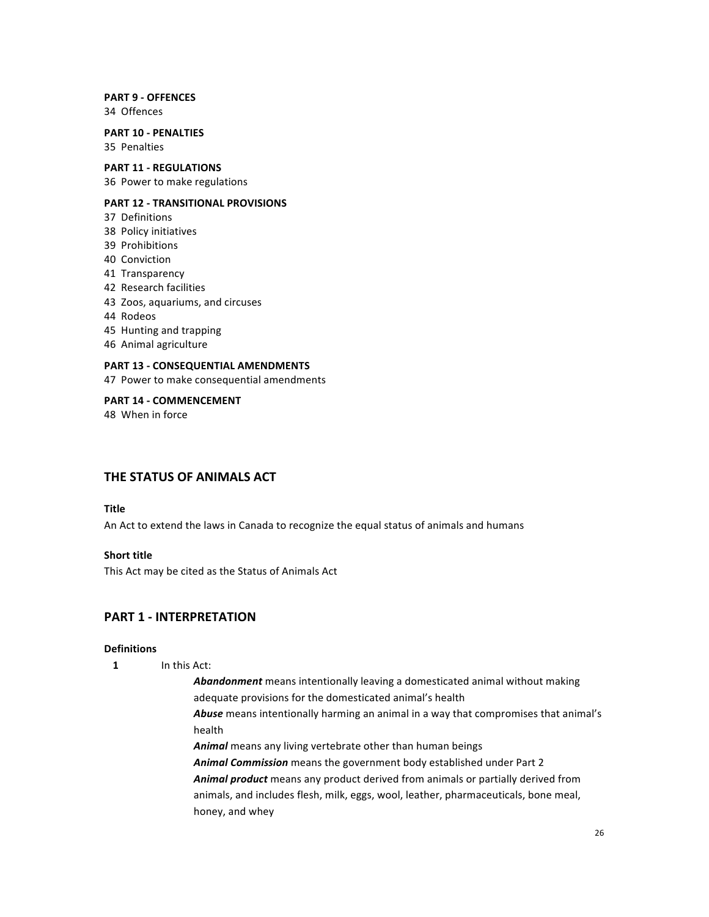### **PART 9 - OFFENCES**

34 Offences

#### **PART 10 - PENALTIES** 35 Penalties

## **PART 11 - REGULATIONS**

36 Power to make regulations

## **PART 12 - TRANSITIONAL PROVISIONS**

- 37 Definitions
- 38 Policy initiatives
- 39 Prohibitions
- 40 Conviction
- 41 Transparency
- 42 Research facilities
- 43 Zoos, aquariums, and circuses
- 44 Rodeos
- 45 Hunting and trapping
- 46 Animal agriculture

#### **PART 13 - CONSEQUENTIAL AMENDMENTS**

47 Power to make consequential amendments

**PART 14 - COMMENCEMENT** 48 When in force

## **THE STATUS OF ANIMALS ACT**

## **Title**

An Act to extend the laws in Canada to recognize the equal status of animals and humans

#### **Short title**

This Act may be cited as the Status of Animals Act

## **PART 1 - INTERPRETATION**

#### **Definitions**

- **1** In this Act:
	- Abandonment means intentionally leaving a domesticated animal without making adequate provisions for the domesticated animal's health Abuse means intentionally harming an animal in a way that compromises that animal's health Animal means any living vertebrate other than human beings
	- Animal Commission means the government body established under Part 2 Animal product means any product derived from animals or partially derived from animals, and includes flesh, milk, eggs, wool, leather, pharmaceuticals, bone meal, honey, and whey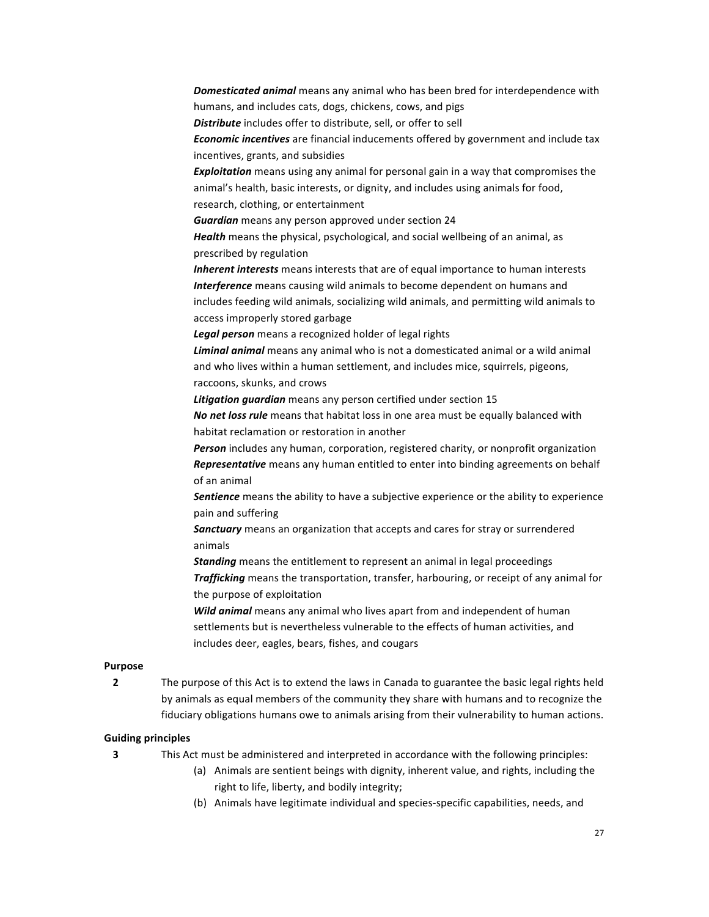**Domesticated animal** means any animal who has been bred for interdependence with humans, and includes cats, dogs, chickens, cows, and pigs **Distribute** includes offer to distribute, sell, or offer to sell **Economic incentives** are financial inducements offered by government and include tax incentives, grants, and subsidies **Exploitation** means using any animal for personal gain in a way that compromises the animal's health, basic interests, or dignity, and includes using animals for food, research, clothing, or entertainment *Guardian* means any person approved under section 24 **Health** means the physical, psychological, and social wellbeing of an animal, as prescribed by regulation **Inherent interests** means interests that are of equal importance to human interests *Interference* means causing wild animals to become dependent on humans and includes feeding wild animals, socializing wild animals, and permitting wild animals to access improperly stored garbage Legal person means a recognized holder of legal rights Liminal *animal* means any animal who is not a domesticated animal or a wild animal and who lives within a human settlement, and includes mice, squirrels, pigeons, raccoons, skunks, and crows **Litigation guardian** means any person certified under section 15 **No net loss rule** means that habitat loss in one area must be equally balanced with habitat reclamation or restoration in another **Person** includes any human, corporation, registered charity, or nonprofit organization **Representative** means any human entitled to enter into binding agreements on behalf of an animal **Sentience** means the ability to have a subjective experience or the ability to experience pain and suffering **Sanctuary** means an organization that accepts and cares for stray or surrendered animals *Standing* means the entitlement to represent an animal in legal proceedings **Trafficking** means the transportation, transfer, harbouring, or receipt of any animal for the purpose of exploitation **Wild animal** means any animal who lives apart from and independent of human settlements but is nevertheless vulnerable to the effects of human activities, and includes deer, eagles, bears, fishes, and cougars

## **Purpose**

**2** The purpose of this Act is to extend the laws in Canada to guarantee the basic legal rights held by animals as equal members of the community they share with humans and to recognize the fiduciary obligations humans owe to animals arising from their vulnerability to human actions.

#### **Guiding principles**

- **3** This Act must be administered and interpreted in accordance with the following principles:
	- (a) Animals are sentient beings with dignity, inherent value, and rights, including the right to life, liberty, and bodily integrity;
	- (b) Animals have legitimate individual and species-specific capabilities, needs, and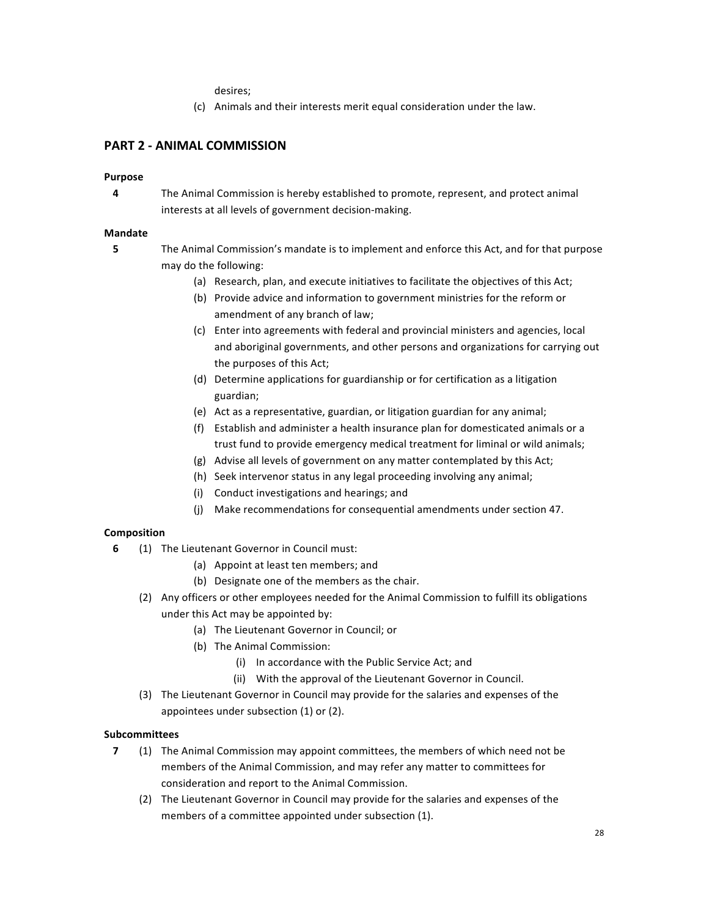desires; 

(c) Animals and their interests merit equal consideration under the law.

## **PART 2 - ANIMAL COMMISSION**

#### **Purpose**

**4** The Animal Commission is hereby established to promote, represent, and protect animal interests at all levels of government decision-making.

#### **Mandate**

- **5** The Animal Commission's mandate is to implement and enforce this Act, and for that purpose may do the following:
	- (a) Research, plan, and execute initiatives to facilitate the objectives of this Act;
	- (b) Provide advice and information to government ministries for the reform or amendment of any branch of law;
	- (c) Enter into agreements with federal and provincial ministers and agencies, local and aboriginal governments, and other persons and organizations for carrying out the purposes of this Act;
	- (d) Determine applications for guardianship or for certification as a litigation guardian;
	- (e) Act as a representative, guardian, or litigation guardian for any animal;
	- (f) Establish and administer a health insurance plan for domesticated animals or a trust fund to provide emergency medical treatment for liminal or wild animals;
	- (g) Advise all levels of government on any matter contemplated by this Act;
	- (h) Seek intervenor status in any legal proceeding involving any animal;
	- (i) Conduct investigations and hearings; and
	- (j) Make recommendations for consequential amendments under section 47.

## **Composition**

- **6** (1) The Lieutenant Governor in Council must:
	- (a) Appoint at least ten members; and
	- (b) Designate one of the members as the chair.
	- (2) Any officers or other employees needed for the Animal Commission to fulfill its obligations under this Act may be appointed by:
		- (a) The Lieutenant Governor in Council; or
		- (b) The Animal Commission:
			- (i) In accordance with the Public Service Act; and
			- (ii) With the approval of the Lieutenant Governor in Council.
	- (3) The Lieutenant Governor in Council may provide for the salaries and expenses of the appointees under subsection  $(1)$  or  $(2)$ .

#### **Subcommittees**

- **7** (1) The Animal Commission may appoint committees, the members of which need not be members of the Animal Commission, and may refer any matter to committees for consideration and report to the Animal Commission.
	- (2) The Lieutenant Governor in Council may provide for the salaries and expenses of the members of a committee appointed under subsection (1).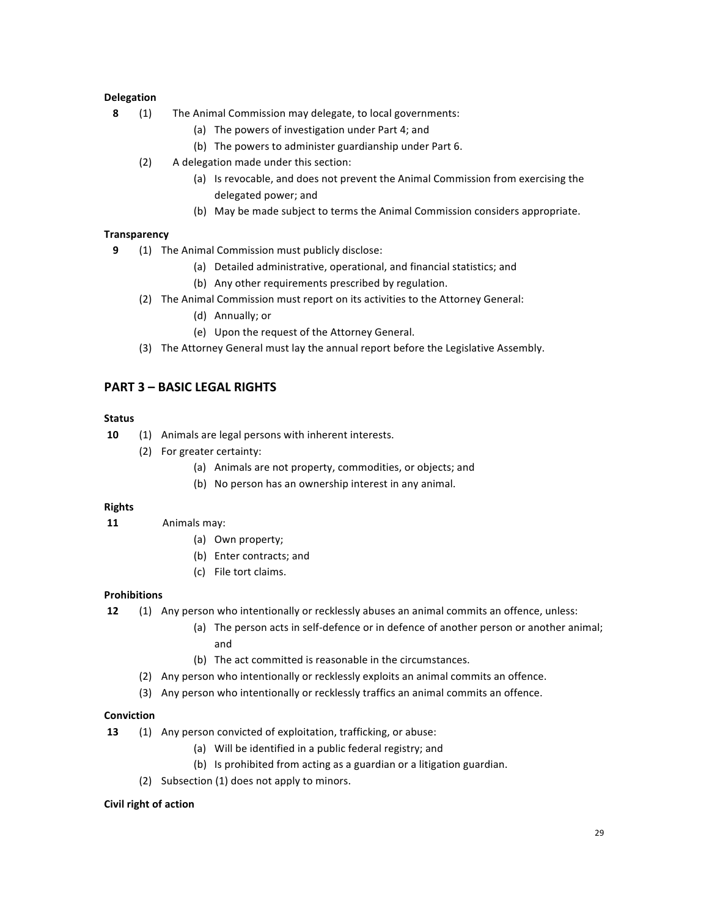### **Delegation**

- **8** (1) The Animal Commission may delegate, to local governments:
	- (a) The powers of investigation under Part 4; and
	- (b) The powers to administer guardianship under Part 6.
	- (2) A delegation made under this section:
		- (a) Is revocable, and does not prevent the Animal Commission from exercising the delegated power; and
		- (b) May be made subject to terms the Animal Commission considers appropriate.

## **Transparency**

- **9** (1) The Animal Commission must publicly disclose:
	- (a) Detailed administrative, operational, and financial statistics; and
	- (b) Any other requirements prescribed by regulation.
	- (2) The Animal Commission must report on its activities to the Attorney General:
		- (d) Annually; or
		- (e) Upon the request of the Attorney General.
	- (3) The Attorney General must lay the annual report before the Legislative Assembly.

## **PART 3 – BASIC LEGAL RIGHTS**

#### **Status**

- **10** (1) Animals are legal persons with inherent interests.
	- (2) For greater certainty:
		- (a) Animals are not property, commodities, or objects; and
		- (b) No person has an ownership interest in any animal.

#### **Rights**

- **11** Animals may:
	- (a) Own property;
	- (b) Enter contracts; and
	- (c) File tort claims.

#### **Prohibitions**

**12** (1) Any person who intentionally or recklessly abuses an animal commits an offence, unless:

- (a) The person acts in self-defence or in defence of another person or another animal; and
- (b) The act committed is reasonable in the circumstances.
- (2) Any person who intentionally or recklessly exploits an animal commits an offence.
- (3) Any person who intentionally or recklessly traffics an animal commits an offence.

#### **Conviction**

- **13** (1) Any person convicted of exploitation, trafficking, or abuse:
	- (a) Will be identified in a public federal registry; and
	- (b) Is prohibited from acting as a guardian or a litigation guardian.
	- (2) Subsection (1) does not apply to minors.

#### **Civil right of action**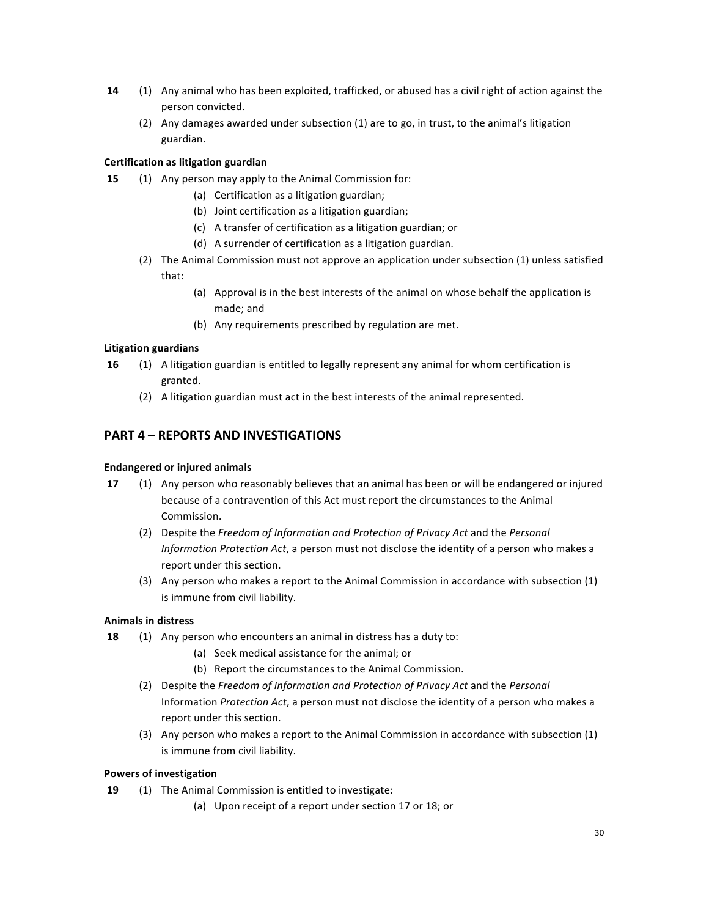- **14** (1) Any animal who has been exploited, trafficked, or abused has a civil right of action against the person convicted.
	- (2) Any damages awarded under subsection (1) are to go, in trust, to the animal's litigation guardian.

## **Certification as litigation guardian**

- **15** (1) Any person may apply to the Animal Commission for:
	- (a) Certification as a litigation guardian;
	- (b) Joint certification as a litigation guardian;
	- (c) A transfer of certification as a litigation guardian; or
	- (d) A surrender of certification as a litigation guardian.
	- (2) The Animal Commission must not approve an application under subsection (1) unless satisfied that:
		- (a) Approval is in the best interests of the animal on whose behalf the application is made; and
		- (b) Any requirements prescribed by regulation are met.

## **Litigation guardians**

- **16** (1) A litigation guardian is entitled to legally represent any animal for whom certification is granted.
	- (2) A litigation guardian must act in the best interests of the animal represented.

## **PART 4 - REPORTS AND INVESTIGATIONS**

## **Endangered or injured animals**

- **17** (1) Any person who reasonably believes that an animal has been or will be endangered or injured because of a contravention of this Act must report the circumstances to the Animal Commission.
	- (2) Despite the Freedom of Information and Protection of Privacy Act and the Personal *Information Protection Act*, a person must not disclose the identity of a person who makes a report under this section.
	- (3) Any person who makes a report to the Animal Commission in accordance with subsection (1) is immune from civil liability.

## **Animals in distress**

- **18** (1) Any person who encounters an animal in distress has a duty to:
	- (a) Seek medical assistance for the animal; or
	- (b) Report the circumstances to the Animal Commission.
	- (2) Despite the Freedom of Information and Protection of Privacy Act and the Personal Information *Protection Act*, a person must not disclose the identity of a person who makes a report under this section.
	- (3) Any person who makes a report to the Animal Commission in accordance with subsection (1) is immune from civil liability.

## **Powers of investigation**

- **19** (1) The Animal Commission is entitled to investigate:
	- (a) Upon receipt of a report under section 17 or 18; or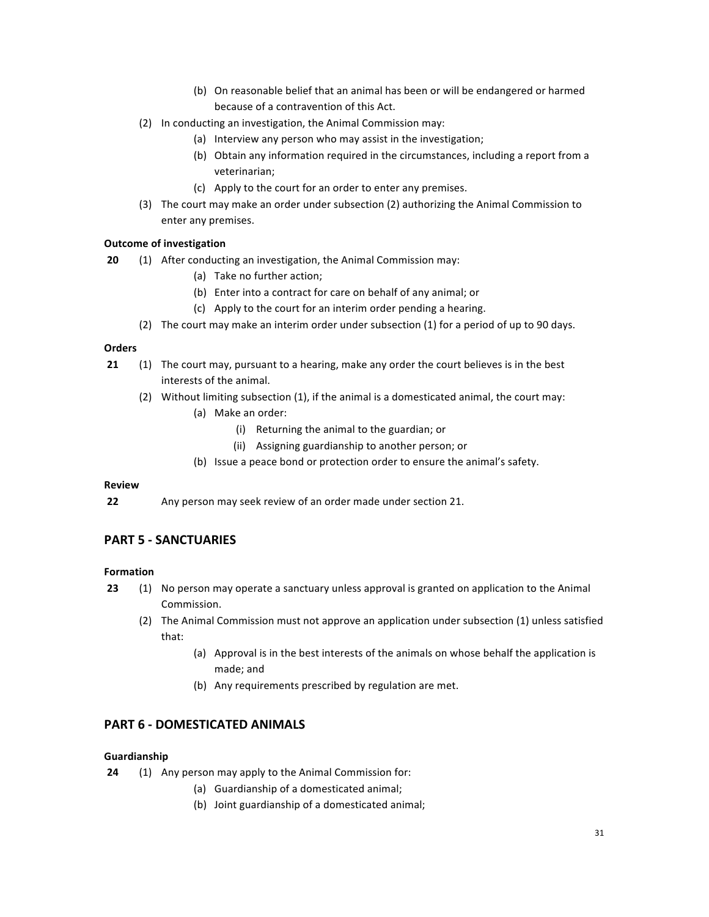- (b) On reasonable belief that an animal has been or will be endangered or harmed because of a contravention of this Act.
- (2) In conducting an investigation, the Animal Commission may:
	- (a) Interview any person who may assist in the investigation;
	- (b) Obtain any information required in the circumstances, including a report from a veterinarian;
	- (c) Apply to the court for an order to enter any premises.
- (3) The court may make an order under subsection (2) authorizing the Animal Commission to enter any premises.

## **Outcome of investigation**

- **20** (1) After conducting an investigation, the Animal Commission may:
	- (a) Take no further action;
	- (b) Enter into a contract for care on behalf of any animal; or
	- (c) Apply to the court for an interim order pending a hearing.
	- (2) The court may make an interim order under subsection (1) for a period of up to 90 days.

#### **Orders**

- **21** (1) The court may, pursuant to a hearing, make any order the court believes is in the best interests of the animal.
	- $(2)$  Without limiting subsection  $(1)$ , if the animal is a domesticated animal, the court may:
		- (a) Make an order:
			- (i) Returning the animal to the guardian; or
			- (ii) Assigning guardianship to another person; or
		- (b) Issue a peace bond or protection order to ensure the animal's safety.

#### **Review**

**22** Any person may seek review of an order made under section 21.

## **PART 5 - SANCTUARIES**

## **Formation**

- **23** (1) No person may operate a sanctuary unless approval is granted on application to the Animal Commission.
	- (2) The Animal Commission must not approve an application under subsection (1) unless satisfied that:
		- (a) Approval is in the best interests of the animals on whose behalf the application is made; and
		- (b) Any requirements prescribed by regulation are met.

## **PART 6 - DOMESTICATED ANIMALS**

#### **Guardianship**

- **24** (1) Any person may apply to the Animal Commission for:
	- (a) Guardianship of a domesticated animal;
	- (b) Joint guardianship of a domesticated animal;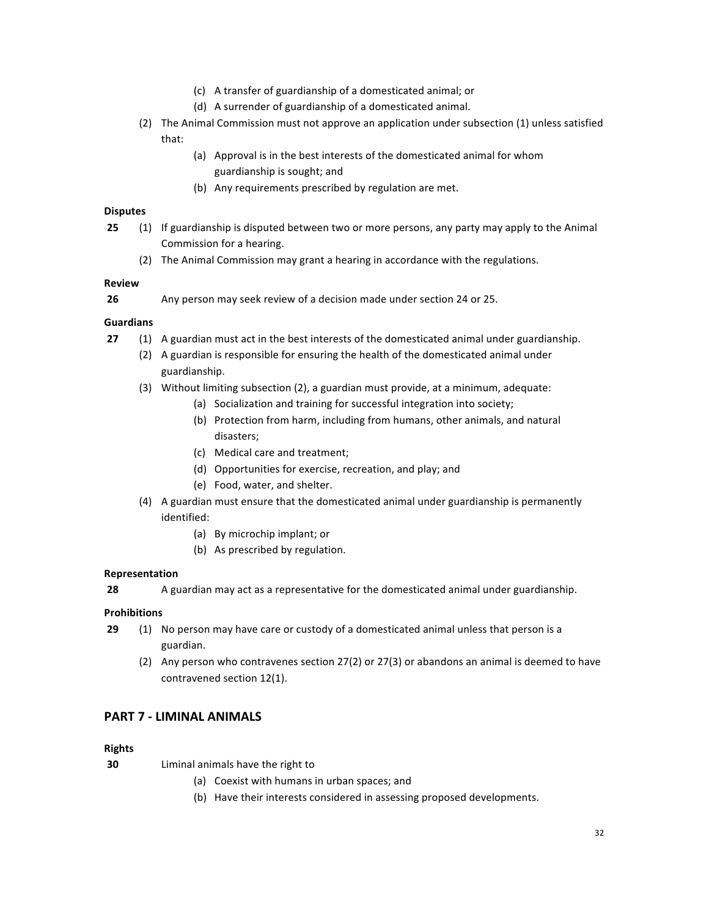- (c) A transfer of guardianship of a domesticated animal; or
- (d) A surrender of guardianship of a domesticated animal.
- (2) The Animal Commission must not approve an application under subsection (1) unless satisfied that:
	- (a) Approval is in the best interests of the domesticated animal for whom guardianship is sought; and
	- (b) Any requirements prescribed by regulation are met.

### **Disputes**

- **25** (1) If guardianship is disputed between two or more persons, any party may apply to the Animal Commission for a hearing.
	- (2) The Animal Commission may grant a hearing in accordance with the regulations.

## **Review**

**26** Any person may seek review of a decision made under section 24 or 25.

## **Guardians**

- **27** (1) A guardian must act in the best interests of the domesticated animal under guardianship.
	- (2) A guardian is responsible for ensuring the health of the domesticated animal under guardianship.
	- (3) Without limiting subsection (2), a guardian must provide, at a minimum, adequate:
		- (a) Socialization and training for successful integration into society;
		- (b) Protection from harm, including from humans, other animals, and natural disasters;
		- (c) Medical care and treatment;
		- (d) Opportunities for exercise, recreation, and play; and
		- (e) Food, water, and shelter.
	- (4) A guardian must ensure that the domesticated animal under guardianship is permanently identified:
		- (a) By microchip implant; or
		- (b) As prescribed by regulation.

## **Representation**

**28** A guardian may act as a representative for the domesticated animal under guardianship.

## **Prohibitions**

- **29** (1) No person may have care or custody of a domesticated animal unless that person is a guardian.
	- (2) Any person who contravenes section  $27(2)$  or  $27(3)$  or abandons an animal is deemed to have contravened section 12(1).

## **PART 7 - LIMINAL ANIMALS**

## **Rights**

**30** Liminal animals have the right to

- (a) Coexist with humans in urban spaces; and
- (b) Have their interests considered in assessing proposed developments.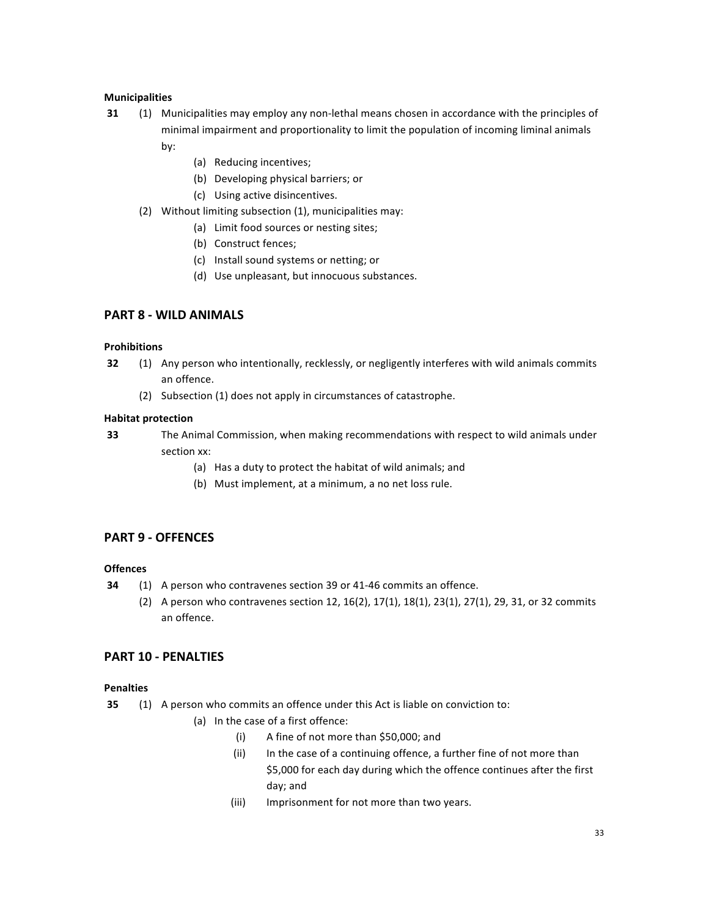## **Municipalities**

- **31** (1) Municipalities may employ any non-lethal means chosen in accordance with the principles of minimal impairment and proportionality to limit the population of incoming liminal animals by:
	- (a) Reducing incentives;
	- (b) Developing physical barriers; or
	- (c) Using active disincentives.
	- (2) Without limiting subsection  $(1)$ , municipalities may:
		- (a) Limit food sources or nesting sites;
		- (b) Construct fences;
		- (c) Install sound systems or netting; or
		- (d) Use unpleasant, but innocuous substances.

## **PART 8 - WILD ANIMALS**

#### **Prohibitions**

- **32** (1) Any person who intentionally, recklessly, or negligently interferes with wild animals commits an offence.
	- (2) Subsection (1) does not apply in circumstances of catastrophe.

#### **Habitat protection**

**33** The Animal Commission, when making recommendations with respect to wild animals under section xx:

- (a) Has a duty to protect the habitat of wild animals; and
- (b) Must implement, at a minimum, a no net loss rule.

## **PART 9 - OFFENCES**

## **Offences**

- **34** (1) A person who contravenes section 39 or 41-46 commits an offence.
	- (2) A person who contravenes section 12, 16(2), 17(1), 18(1), 23(1), 27(1), 29, 31, or 32 commits an offence.

## **PART 10 - PENALTIES**

#### **Penalties**

- **35** (1) A person who commits an offence under this Act is liable on conviction to:
	- (a) In the case of a first offence:
		- (i) A fine of not more than \$50,000; and
		- (ii) In the case of a continuing offence, a further fine of not more than \$5,000 for each day during which the offence continues after the first day; and
		- (iii) Imprisonment for not more than two years.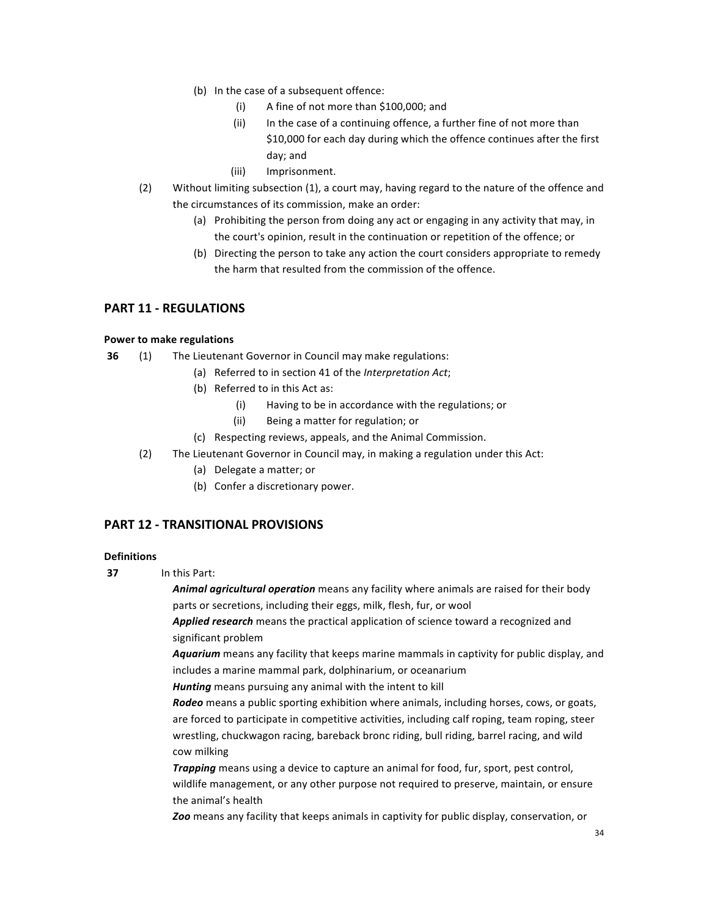- (b) In the case of a subsequent offence:
	- (i) A fine of not more than  $$100,000$ ; and
	- (ii) In the case of a continuing offence, a further fine of not more than \$10,000 for each day during which the offence continues after the first day; and
	- (iii) Imprisonment.
- (2) Without limiting subsection (1), a court may, having regard to the nature of the offence and the circumstances of its commission, make an order:
	- (a) Prohibiting the person from doing any act or engaging in any activity that may, in the court's opinion, result in the continuation or repetition of the offence; or
	- (b) Directing the person to take any action the court considers appropriate to remedy the harm that resulted from the commission of the offence.

## **PART 11 - REGULATIONS**

## **Power to make regulations**

- **36** (1) The Lieutenant Governor in Council may make regulations:
	- (a) Referred to in section 41 of the *Interpretation Act*;
	- (b) Referred to in this Act as:
		- (i) Having to be in accordance with the regulations; or
		- (ii) Being a matter for regulation; or
	- (c) Respecting reviews, appeals, and the Animal Commission.
	- (2) The Lieutenant Governor in Council may, in making a regulation under this Act:
		- (a) Delegate a matter; or
		- (b) Confer a discretionary power.

## **PART 12 - TRANSITIONAL PROVISIONS**

#### **Definitions**

**37** In this Part:

**Animal agricultural operation** means any facility where animals are raised for their body parts or secretions, including their eggs, milk, flesh, fur, or wool

Applied research means the practical application of science toward a recognized and significant problem

Aquarium means any facility that keeps marine mammals in captivity for public display, and includes a marine mammal park, dolphinarium, or oceanarium

Hunting means pursuing any animal with the intent to kill

**Rodeo** means a public sporting exhibition where animals, including horses, cows, or goats, are forced to participate in competitive activities, including calf roping, team roping, steer wrestling, chuckwagon racing, bareback bronc riding, bull riding, barrel racing, and wild cow milking

**Trapping** means using a device to capture an animal for food, fur, sport, pest control, wildlife management, or any other purpose not required to preserve, maintain, or ensure the animal's health

**Zoo** means any facility that keeps animals in captivity for public display, conservation, or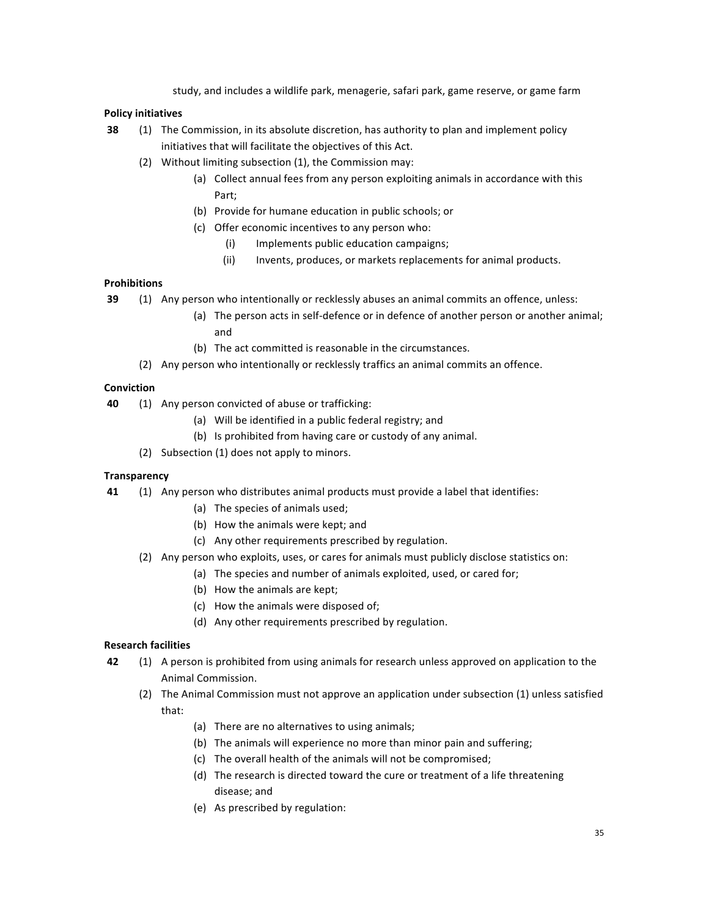study, and includes a wildlife park, menagerie, safari park, game reserve, or game farm

## **Policy initiatives**

- **38** (1) The Commission, in its absolute discretion, has authority to plan and implement policy initiatives that will facilitate the objectives of this Act.
	- (2) Without limiting subsection  $(1)$ , the Commission may:
		- (a) Collect annual fees from any person exploiting animals in accordance with this Part;
		- (b) Provide for humane education in public schools; or
		- (c) Offer economic incentives to any person who:
			- (i) Implements public education campaigns;
			- (ii) Invents, produces, or markets replacements for animal products.

## **Prohibitions**

- **39** (1) Any person who intentionally or recklessly abuses an animal commits an offence, unless:
	- (a) The person acts in self-defence or in defence of another person or another animal; and
	- (b) The act committed is reasonable in the circumstances.
	- (2) Any person who intentionally or recklessly traffics an animal commits an offence.

## **Conviction**

- **40** (1) Any person convicted of abuse or trafficking:
	- (a) Will be identified in a public federal registry; and
	- (b) Is prohibited from having care or custody of any animal.
	- (2) Subsection  $(1)$  does not apply to minors.

## **Transparency**

- **41** (1) Any person who distributes animal products must provide a label that identifies:
	- (a) The species of animals used;
	- (b) How the animals were kept; and
	- (c) Any other requirements prescribed by regulation.
	- (2) Any person who exploits, uses, or cares for animals must publicly disclose statistics on:
		- (a) The species and number of animals exploited, used, or cared for;
		- (b) How the animals are kept;
		- (c) How the animals were disposed of;
		- (d) Any other requirements prescribed by regulation.

## **Research facilities**

- **42** (1) A person is prohibited from using animals for research unless approved on application to the Animal Commission.
	- (2) The Animal Commission must not approve an application under subsection (1) unless satisfied that:
		- (a) There are no alternatives to using animals;
		- (b) The animals will experience no more than minor pain and suffering;
		- (c) The overall health of the animals will not be compromised;
		- (d) The research is directed toward the cure or treatment of a life threatening disease: and
		- (e) As prescribed by regulation: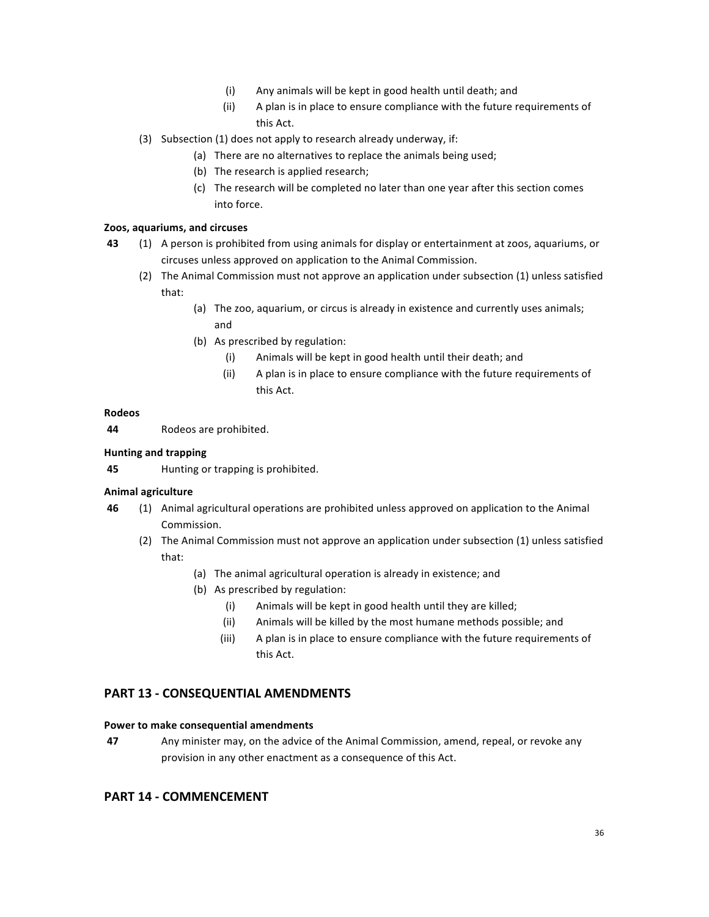- (i) Any animals will be kept in good health until death; and
- (ii) A plan is in place to ensure compliance with the future requirements of this Act.
- (3) Subsection (1) does not apply to research already underway, if:
	- (a) There are no alternatives to replace the animals being used;
	- (b) The research is applied research;
	- (c) The research will be completed no later than one year after this section comes into force.

## **Zoos, aquariums, and circuses**

- **43** (1) A person is prohibited from using animals for display or entertainment at zoos, aquariums, or circuses unless approved on application to the Animal Commission.
	- (2) The Animal Commission must not approve an application under subsection (1) unless satisfied that:
		- (a) The zoo, aquarium, or circus is already in existence and currently uses animals; and
		- (b) As prescribed by regulation:
			- (i) Animals will be kept in good health until their death; and
			- (ii) A plan is in place to ensure compliance with the future requirements of this Act.

#### **Rodeos**

44 Rodeos are prohibited.

### **Hunting and trapping**

**45** Hunting or trapping is prohibited.

#### **Animal agriculture**

- **46** (1) Animal agricultural operations are prohibited unless approved on application to the Animal Commission.
	- (2) The Animal Commission must not approve an application under subsection (1) unless satisfied that:
		- (a) The animal agricultural operation is already in existence; and
		- (b) As prescribed by regulation:
			- (i) Animals will be kept in good health until they are killed;
			- (ii) Animals will be killed by the most humane methods possible; and
			- (iii) A plan is in place to ensure compliance with the future requirements of this Act.

## **PART 13 - CONSEQUENTIAL AMENDMENTS**

#### **Power to make consequential amendments**

**47** Any minister may, on the advice of the Animal Commission, amend, repeal, or revoke any provision in any other enactment as a consequence of this Act.

## **PART 14 - COMMENCEMENT**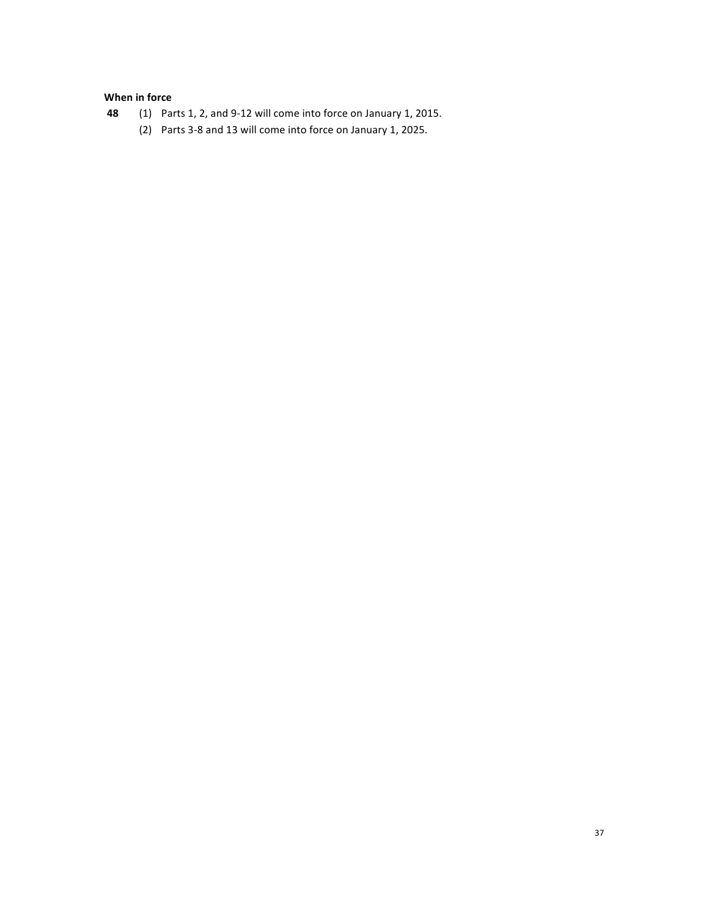## **When in force**

- **48** (1) Parts 1, 2, and 9-12 will come into force on January 1, 2015.
	- (2) Parts 3-8 and 13 will come into force on January 1, 2025.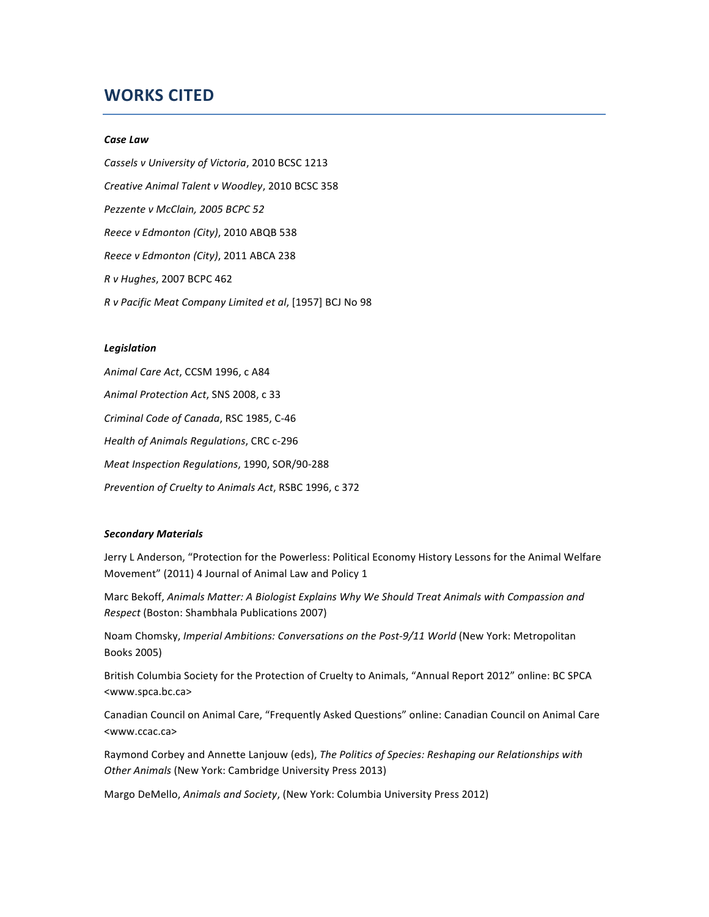## **WORKS CITED**

#### *Case Law*

*Cassels v University of Victoria*, 2010 BCSC 1213 *Creative Animal Talent v Woodley*, 2010 BCSC 358 Pezzente v McClain, 2005 BCPC 52 *Reece v Edmonton (City)*, 2010 ABQB 538 *Reece v Edmonton (City)*, 2011 ABCA 238 *R v Hughes*, 2007 BCPC 462 *R v Pacific Meat Company Limited et al*, [1957] BCJ No 98

#### *Legislation*

Animal Care Act, CCSM 1996, c A84 Animal Protection Act, SNS 2008, c 33 *Criminal Code of Canada*, RSC 1985, C-46 *Health of Animals Regulations*, CRC c-296 *Meat Inspection Regulations*, 1990, SOR/90-288 *Prevention of Cruelty to Animals Act*, RSBC 1996, c 372

#### *Secondary Materials*

Jerry L Anderson, "Protection for the Powerless: Political Economy History Lessons for the Animal Welfare Movement" (2011) 4 Journal of Animal Law and Policy 1

Marc Bekoff, Animals Matter: A Biologist Explains Why We Should Treat Animals with Compassion and *Respect* (Boston: Shambhala Publications 2007)

Noam Chomsky, *Imperial Ambitions: Conversations on the Post-9/11 World* (New York: Metropolitan Books 2005)

British Columbia Society for the Protection of Cruelty to Animals, "Annual Report 2012" online: BC SPCA <www.spca.bc.ca>

Canadian Council on Animal Care, "Frequently Asked Questions" online: Canadian Council on Animal Care <www.ccac.ca>

Raymond Corbey and Annette Lanjouw (eds), *The Politics of Species: Reshaping our Relationships with* **Other Animals (New York: Cambridge University Press 2013)** 

Margo DeMello, Animals and Society, (New York: Columbia University Press 2012)